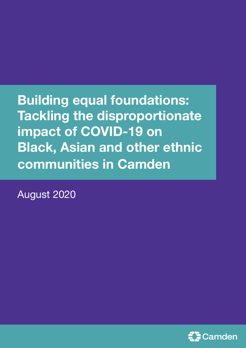# **Building equal foundations: Tackling the disproportionate impact of COVID-19 on Black, Asian and other ethnic communities in Camden**

August 2020

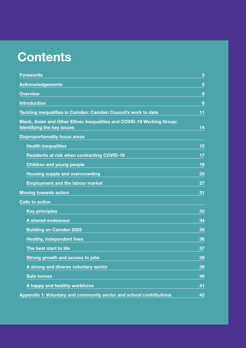# **Contents**

| <b>Forewords</b>                                                                                            | 3  |
|-------------------------------------------------------------------------------------------------------------|----|
| <b>Acknowledgements</b>                                                                                     | 5  |
| <b>Overview</b>                                                                                             | 6  |
| <b>Introduction</b>                                                                                         | 8  |
| Tackling inequalities in Camden: Camden Council's work to date                                              | 11 |
| Black, Asian and Other Ethnic Inequalities and COVID-19 Working Group:<br><b>Identifying the key issues</b> | 14 |
| <b>Disproportionality focus areas</b>                                                                       |    |
| <b>Health inequalities</b>                                                                                  | 15 |
| <b>Residents at risk when contracting COVID-19</b>                                                          | 17 |
| <b>Children and young people</b>                                                                            | 19 |
| <b>Housing supply and overcrowding</b>                                                                      | 25 |
| <b>Employment and the labour market</b>                                                                     | 27 |
| <b>Moving towards action</b>                                                                                | 31 |
| <b>Calls to action</b>                                                                                      |    |
| <b>Key principles</b>                                                                                       | 33 |
| A shared endeavour                                                                                          | 34 |
| <b>Building on Camden 2025</b>                                                                              | 35 |
| <b>Healthy, independent lives</b>                                                                           | 36 |
| The best start to life                                                                                      | 37 |
| Strong growth and access to jobs                                                                            | 38 |
| A strong and diverse voluntary sector                                                                       | 39 |
| <b>Safe homes</b>                                                                                           | 40 |
| A happy and healthy workforce                                                                               | 41 |
| Appendix 1: Voluntary and community sector and school contributions                                         | 43 |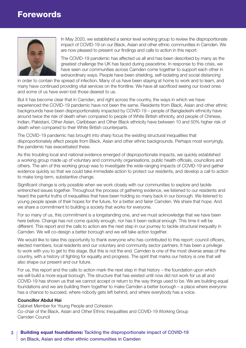### <span id="page-2-0"></span>Forewords



In May 2020, we established a senior level working group to review the disproportionate impact of COVID-19 on our Black, Asian and other ethnic communities in Camden. We are now pleased to present our findings and calls to action in this report.

The COVID-19 pandemic has affected us all and has been described by many as the greatest challenge the UK has faced during peacetime. In response to this crisis, we have seen our communities across Camden come together to support each other in extraordinary ways. People have been shielding, self-isolating and social distancing

in order to contain the spread of infection. Many of us have been staying at home to work and to learn, and many have continued providing vital services on the frontline. We have all sacrificed seeing our loved ones and some of us have even lost those dearest to us.

But it has become clear that in Camden, and right across the country, the ways in which we have experienced the COVID-19 pandemic have not been the same. Residents from Black, Asian and other ethnic backgrounds have been disproportionately impacted by COVID-19 – people of Bangladeshi ethnicity have around twice the risk of death when compared to people of White British ethnicity, and people of Chinese, Indian, Pakistani, Other Asian, Caribbean and Other Black ethnicity have between 10 and 50% higher risk of death when compared to their White British counterparts.

The COVID-19 pandemic has brought into sharp focus the existing structural inequalities that disproportionately affect people from Black, Asian and other ethnic backgrounds. Perhaps most worryingly, the pandemic has exacerbated these.

As this troubling local and national evidence emerged of disproportionate impacts, we quickly established a working group made up of voluntary and community organisations, public health officials, councillors and others. The aim of this working group was to investigate the wide-ranging impacts of COVID-19 and gather evidence quickly so that we could take immediate action to protect our residents, and develop a call to action to make long-term, substantive change.

Significant change is only possible when we work closely with our communities to explore and tackle entrenched issues together. Throughout the process of gathering evidence, we listened to our residents and heard the painful truths of inequalities that have been holding so many back in our borough. We listened to young people speak of their hopes for the future, for a better and fairer Camden. We share that hope. And we share a commitment to building a society that works for everyone.

For so many of us, this commitment is a longstanding one, and we must acknowledge that we have been here before. Change has not come quickly enough, nor has it been radical enough. This time it will be different. This report and the calls to action are the next step in our journey to tackle structural inequality in Camden. We will co-design a better borough and we will take action together.

We would like to take this opportunity to thank everyone who has contributed to this report: council officers, elected members, local residents and our voluntary and community sector partners. It has been a privilege to work with you to get to this stage. But this is not the end. Camden is one of the most diverse areas of the country, with a history of fighting for equality and progress. The spirit that marks our history is one that will also shape our present and our future.

For us, this report and the calls to action mark the next step in that history – the foundation upon which we will build a more equal borough. The structure that has existed until now did not work for us all and COVID-19 has shown us that we cannot accept or return to the way things used to be. We are building equal foundations and we are building them together to make Camden a better borough – a place where everyone has a chance to succeed, where nobody gets left behind, and where everybody has a voice.

#### **Councillor Abdul Hai**

Cabinet Member for Young People and Cohesion Co-chair of the Black, Asian and Other Ethnic Inequalities and COVID-19 Working Group Camden Council

#### 3 | Building equal foundations: Tackling the disproportionate impact of COVID-19 on Black, Asian and other ethnic communities in Camden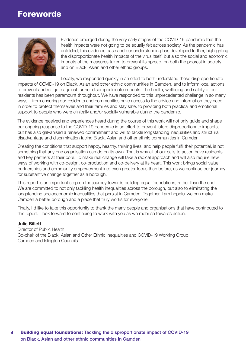### Forewords



Evidence emerged during the very early stages of the COVID-19 pandemic that the health impacts were not going to be equally felt across society. As the pandemic has unfolded, this evidence base and our understanding has developed further, highlighting the disproportionate health impacts of the virus itself, but also the social and economic impacts of the measures taken to prevent its spread, on both the poorest in society and on Black, Asian and other ethnic groups.

Locally, we responded quickly in an effort to both understand these disproportionate impacts of COVID-19 on Black, Asian and other ethnic communities in Camden, and to inform local actions to prevent and mitigate against further disproportionate impacts. The health, wellbeing and safety of our residents has been paramount throughout. We have responded to this unprecedented challenge in so many ways – from ensuring our residents and communities have access to the advice and information they need in order to protect themselves and their families and stay safe, to providing both practical and emotional support to people who were clinically and/or socially vulnerable during the pandemic.

The evidence received and experiences heard during the course of this work will not only guide and shape our ongoing response to the COVID-19 pandemic in an effort to prevent future disproportionate impacts, but has also galvanised a renewed commitment and will to tackle longstanding inequalities and structural disadvantage and discrimination facing Black, Asian and other ethnic communities in Camden.

Creating the conditions that support happy, healthy, thriving lives, and help people fulfil their potential, is not something that any one organisation can do on its own. That is why all of our calls to action have residents and key partners at their core. To make real change will take a radical approach and will also require new ways of working with co-design, co-production and co-delivery at its heart. This work brings social value, partnerships and community empowerment into even greater focus than before, as we continue our journey for substantive change together as a borough.

This report is an important step on the journey towards building equal foundations, rather than the end. We are committed to not only tackling health inequalities across the borough, but also to eliminating the longstanding socioeconomic inequalities that persist in Camden. Together, I am hopeful we can make Camden a better borough and a place that truly works for everyone.

Finally, I'd like to take this opportunity to thank the many people and organisations that have contributed to this report. I look forward to continuing to work with you as we mobilise towards action.

#### **Julie Billett**

Director of Public Health Co-chair of the Black, Asian and Other Ethnic Inequalities and COVID-19 Working Group Camden and Islington Councils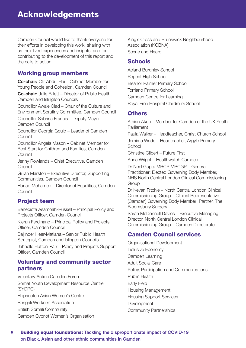<span id="page-4-0"></span>Camden Council would like to thank everyone for their efforts in developing this work, sharing with us their lived experiences and insights, and for contributing to the development of this report and the calls to action.

### Working group members

**Co-chair:** Cllr Abdul Hai – Cabinet Member for Young People and Cohesion, Camden Council

**Co-chair:** Julie Billett – Director of Public Health, Camden and Islington Councils

Councillor Awale Olad – Chair of the Culture and Environment Scrutiny Committee, Camden Council

Councillor Sabrina Francis – Deputy Mayor, Camden Council

Councillor Georgia Gould – Leader of Camden **Council** 

Councillor Angela Mason – Cabinet Member for Best Start for Children and Families, Camden **Council** 

Jenny Rowlands – Chief Executive, Camden Council

Gillian Marston – Executive Director, Supporting Communities, Camden Council

Hanad Mohamed – Director of Equalities, Camden Council

### Project team

Benedicta Asamoah-Russell – Principal Policy and Projects Officer, Camden Council

Kieran Ferdinand – Principal Policy and Projects Officer, Camden Council

Baljinder Heer-Matiana – Senior Public Health Strategist, Camden and Islington Councils

Jahnelle Hutton-Parr – Policy and Projects Support Officer, Camden Council

### Voluntary and community sector partners

Voluntary Action Camden Forum Somali Youth Development Resource Centre (SYDRC) Hopscotch Asian Women's Centre Bengali Workers' Association British Somali Community Camden Cypriot Women's Organisation

King's Cross and Brunswick Neighbourhood Association (KCBNA) Scene and Heard

### **Schools**

Acland Burghley School Regent High School Eleanor Palmer Primary School Torriano Primary School Camden Centre for Learning Royal Free Hospital Children's School

### **Others**

Athian Akec – Member for Camden of the UK Youth Parliament

Paula Walker – Headteacher, Christ Church School Jemima Wade – Headteacher, Argyle Primary **School** 

Christine Gilbert – Future First

Anna Wright – Healthwatch Camden

Dr Neel Gupta MRCP MRCGP – General Practitioner; Elected Governing Body Member, NHS North Central London Clinical Commissioning **Group** 

Dr Kevan Ritchie – North Central London Clinical Commissioning Group – Clinical Representative (Camden) Governing Body Member; Partner, The Bloomsbury Surgery

Sarah McDonnell Davies – Executive Managing Director, North Central London Clinical Commissioning Group – Camden Directorate

### Camden Council services

Organisational Development Inclusive Economy Camden Learning Adult Social Care Policy, Participation and Communications Public Health Early Help Housing Management Housing Support Services **Development** Community Partnerships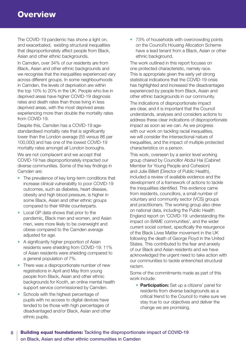<span id="page-5-0"></span>The COVID-19 pandemic has shone a light on, and exacerbated, existing structural inequalities that disproportionately affect people from Black, Asian and other ethnic backgrounds.

In Camden, over 34% of our residents are from Black, Asian and other ethnic backgrounds and we recognise that the inequalities experienced vary across different groups. In some neighbourhoods in Camden, the levels of deprivation are within the top 10% to 20% in the UK. People who live in deprived areas have higher COVID-19 diagnosis rates and death rates than those living in less deprived areas, with the most deprived areas experiencing more than double the mortality rates from COVID-19.

Despite this, Camden has a COVID-19 agestandardised mortality rate that is significantly lower than the London average (55 versus 86 per 100,000) and has one of the lowest COVID-19 mortality rates amongst all London boroughs.

We are not complacent and we accept that COVID-19 has disproportionately impacted our diverse communities. Some of the key findings in Camden are:

- The prevalence of key long-term conditions that increase clinical vulnerability to poor COVID-19 outcomes, such as diabetes, heart disease, obesity and high blood pressure, is higher in some Black, Asian and other ethnic groups compared to their White counterparts.
- Local GP data shows that prior to the pandemic, Black men and women, and Asian men, were more likely to be overweight and obese compared to the Camden average adjusted for age.
- A significantly higher proportion of Asian residents were shielding from COVID-19: 11% of Asian residents were shielding compared to a general population of 7%.
- There was a disproportionate number of new registrations in April and May from young people from Black, Asian and other ethnic backgrounds for Kooth, an online mental health support service commissioned by Camden.
- Schools with the highest percentage of pupils with no access to digital devices have tended to be those with high percentages of disadvantaged and/or Black, Asian and other ethnic pupils.

• 73% of households with overcrowding points on the Council's Housing Allocation Scheme have a lead tenant from a Black, Asian or other ethnic background.

The work outlined in this report focuses on one protected characteristic, namely race. This is appropriate given the early yet strong statistical indications that the COVID-19 crisis has highlighted and increased the disadvantages experienced by people from Black, Asian and other ethnic backgrounds in our community.

The indications of disproportionate impact are clear, and it is important that the Council understands, analyses and considers actions to address these clear indications of disproportionate impact as soon as we can. As we progress with our work on tackling racial inequalities, we will consider the intersectional nature of inequalities, and the impact of multiple protected characteristics on a person.

This work, overseen by a senior level working group chaired by Councillor Abdul Hai (Cabinet Member for Young People and Cohesion) and Julie Billett (Director of Public Health), included a review of available evidence and the development of a framework of actions to tackle the inequalities identified. This evidence came from residents, councillors, a small number of voluntary and community sector (VCS) groups and practitioners. The working group also drew on national data, including the Public Health England report on 'COVID-19: understanding the impact on BAME communities', and the wider current social context, specifically the resurgence of the Black Lives Matter movement in the UK following the death of George Floyd in the United States. This contributed to the fear and anxiety of our Black and Asian residents and we have acknowledged the urgent need to take action with our communities to tackle entrenched structural racism.

Some of the commitments made as part of this work include:

**• Participation:** Set up a citizens' panel for residents from diverse backgrounds as a critical friend to the Council to make sure we stay true to our objectives and deliver the change we are promising.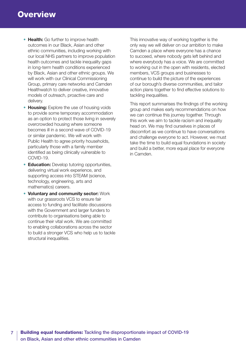- **Health:** Go further to improve health outcomes in our Black, Asian and other ethnic communities, including working with our local NHS partners to improve population health outcomes and tackle inequality gaps in long-term health conditions experienced by Black, Asian and other ethnic groups. We will work with our Clinical Commissioning Group, primary care networks and Camden Healthwatch to deliver creative, innovative models of outreach, proactive care and delivery.
- **Housing:** Explore the use of housing voids to provide some temporary accommodation as an option to protect those living in severely overcrowded housing where someone becomes ill in a second wave of COVID-19 or similar pandemic. We will work with Public Health to agree priority households, particularly those with a family member identified as being clinically vulnerable to COVID-19.
- **Education:** Develop tutoring opportunities, delivering virtual work experience, and supporting access into STEAM (science, technology, engineering, arts and mathematics) careers.
- **Voluntary and community sector:** Work with our grassroots VCS to ensure fair access to funding and facilitate discussions with the Government and larger funders to contribute to organisations being able to continue their vital work. We are committed to enabling collaborations across the sector to build a stronger VCS who help us to tackle structural inequalities.

This innovative way of working together is the only way we will deliver on our ambition to make Camden a place where everyone has a chance to succeed, where nobody gets left behind and where everybody has a voice. We are committed to working out in the open with residents, elected members, VCS groups and businesses to continue to build the picture of the experiences of our borough's diverse communities, and tailor action plans together to find effective solutions to tackling inequalities.

This report summarises the findings of the working group and makes early recommendations on how we can continue this journey together. Through this work we aim to tackle racism and inequality head on. We may find ourselves in places of discomfort as we continue to have conversations and challenge everyone to act. However, we must take the time to build equal foundations in society and build a better, more equal place for everyone in Camden.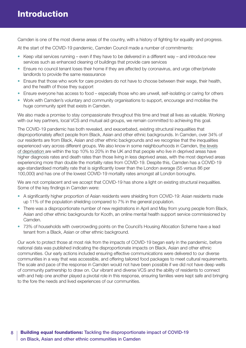<span id="page-7-0"></span>Camden is one of the most diverse areas of the country, with a history of fighting for equality and progress.

At the start of the COVID-19 pandemic, Camden Council made a number of commitments:

- Keep vital services running even if they have to be delivered in a different way and introduce new services such as enhanced cleaning of buildings that provide care services
- Ensure no council tenant loses their home if they are affected by coronavirus, and urge other/private landlords to provide the same reassurance
- Ensure that those who work for care providers do not have to choose between their wage, their health, and the health of those they support
- Ensure everyone has access to food especially those who are unwell, self-isolating or caring for others
- Work with Camden's voluntary and community organisations to support, encourage and mobilise the huge community spirit that exists in Camden.

We also made a promise to stay compassionate throughout this time and treat all lives as valuable. Working with our key partners, local VCS and mutual aid groups, we remain committed to achieving this goal.

The COVID-19 pandemic has both revealed, and exacerbated, existing structural inequalities that disproportionately affect people from Black, Asian and other ethnic backgrounds. In Camden, over 34% of our residents are from Black, Asian and other ethnic backgrounds and we recognise that the inequalities experienced vary across different groups. We also know in some neighbourhoods in Camden, [the levels](https://opendata.camden.gov.uk/People-Places/Camden-Indices-of-Deprivation-2019-Maps/8rca-w2p7) [of deprivation a](https://opendata.camden.gov.uk/People-Places/Camden-Indices-of-Deprivation-2019-Maps/8rca-w2p7)re within the top 10% to 20% in the UK and that people who live in deprived areas have higher diagnosis rates and death rates than those living in less deprived areas, with the most deprived areas experiencing more than double the mortality rates from COVID-19. Despite this, Camden has a COVID-19 age-standardised mortality rate that is significantly lower than the London average (55 versus 86 per 100,000) and has one of the lowest COVID-19 mortality rates amongst all London boroughs.

We are not complacent and we accept that COVID-19 has shone a light on existing structural inequalities. Some of the key findings in Camden were:

- A significantly higher proportion of Asian residents were shielding from COVID-19: Asian residents made up 11% of the population shielding compared to 7% in the general population.
- There was a disproportionate number of new registrations in April and May from young people from Black, Asian and other ethnic backgrounds for Kooth, an online mental health support service commissioned by Camden.
- 73% of households with overcrowding points on the Council's Housing Allocation Scheme have a lead tenant from a Black, Asian or other ethnic background.

Our work to protect those at most risk from the impacts of COVID-19 began early in the pandemic, before national data was published indicating the disproportionate impacts on Black, Asian and other ethnic communities. Our early actions included ensuring effective communications were delivered to our diverse communities in a way that was accessible, and offering tailored food packages to meet cultural requirements. The scale and pace of the response in Camden would not have been possible if we did not have deep wells of community partnership to draw on. Our vibrant and diverse VCS and the ability of residents to connect with and help one another played a pivotal role in this response, ensuring families were kept safe and bringing to the fore the needs and lived experiences of our communities.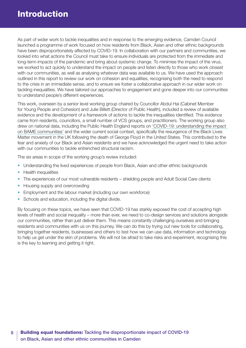As part of wider work to tackle inequalities and in response to the emerging evidence, Camden Council launched a programme of work focused on how residents from Black, Asian and other ethnic backgrounds have been disproportionately affected by COVID-19. In collaboration with our partners and communities, we looked into what actions the Council must take to ensure individuals are protected from the immediate and long-term impacts of the pandemic and bring about systemic change. To minimise the impact of the virus, we worked to act quickly to understand the impact on people and listen directly to those who work closest with our communities, as well as analysing whatever data was available to us. We have used the approach outlined in this report to review our work on cohesion and equalities, recognising both the need to respond to the crisis in an immediate sense, and to ensure we foster a collaborative approach in our wider work on tackling inequalities. We have tailored our approaches to engagement and gone deeper into our communities to understand people's different experiences.

This work, overseen by a senior level working group chaired by Councillor Abdul Hai (Cabinet Member for Young People and Cohesion) and Julie Billett (Director of Public Health), included a review of available evidence and the development of a framework of actions to tackle the inequalities identified. This evidence came from residents, councillors, a small number of VCS groups, and practitioners. The working group also drew on national data, including the Public Health England reports on ['COVID-19: understanding](https://www.gov.uk/government/publications/covid-19-understanding-the-impact-on-bame-communities) the impact [on BAME communities'](https://www.gov.uk/government/publications/covid-19-understanding-the-impact-on-bame-communities) and the wider current social context, specifically the resurgence of the Black Lives Matter movement in the UK following the death of George Floyd in the United States. This contributed to the fear and anxiety of our Black and Asian residents and we have acknowledged the urgent need to take action with our communities to tackle entrenched structural racism.

The six areas in scope of the working group's review included:

- Understanding the lived experiences of people from Black, Asian and other ethnic backgrounds
- Health inequalities
- The experiences of our most vulnerable residents shielding people and Adult Social Care clients
- Housing supply and overcrowding
- Employment and the labour market (including our own workforce)
- Schools and education, including the digital divide.

By focusing on these topics, we have seen that COVID-19 has starkly exposed the cost of accepting high levels of health and social inequality – more than ever, we need to co-design services and solutions alongside our communities, rather than just deliver them. This means constantly challenging ourselves and bringing residents and communities with us on this journey. We can do this by trying out new tools for collaborating, bringing together residents, businesses and others to test how we can use data, information and technology to help us get under the skin of problems. We will not be afraid to take risks and experiment, recognising this is the key to learning and getting it right.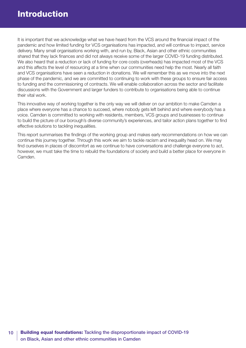It is important that we acknowledge what we have heard from the VCS around the financial impact of the pandemic and how limited funding for VCS organisations has impacted, and will continue to impact, service delivery. Many small organisations working with, and run by, Black, Asian and other ethnic communities shared that they lack finances and did not always receive some of the larger COVID-19 funding distributed. We also heard that a reduction or lack of funding for core costs (overheads) has impacted most of the VCS and this affects the level of resourcing at a time when our communities need help the most. Nearly all faith and VCS organisations have seen a reduction in donations. We will remember this as we move into the next phase of the pandemic, and we are committed to continuing to work with these groups to ensure fair access to funding and the commissioning of contracts. We will enable collaboration across the sector and facilitate discussions with the Government and larger funders to contribute to organisations being able to continue their vital work.

This innovative way of working together is the only way we will deliver on our ambition to make Camden a place where everyone has a chance to succeed, where nobody gets left behind and where everybody has a voice. Camden is committed to working with residents, members, VCS groups and businesses to continue to build the picture of our borough's diverse community's experiences, and tailor action plans together to find effective solutions to tackling inequalities.

This report summarises the findings of the working group and makes early recommendations on how we can continue this journey together. Through this work we aim to tackle racism and inequality head on. We may find ourselves in places of discomfort as we continue to have conversations and challenge everyone to act, however, we must take the time to rebuild the foundations of society and build a better place for everyone in Camden.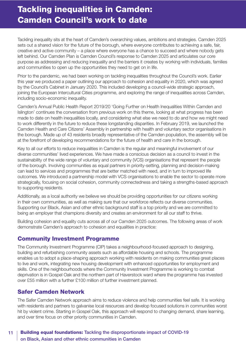## <span id="page-10-0"></span>Tackling inequalities in Camden: Camden Council's work to date

Tackling inequality sits at the heart of Camden's overarching values, ambitions and strategies. Camden 2025 sets out a shared vision for the future of the borough, where everyone contributes to achieving a safe, fair, creative and active community – a place where everyone has a chance to succeed and where nobody gets left behind. Our Camden Plan is Camden Council's response to Camden 2025 and articulates our core purpose as addressing and reducing inequality and the barriers it creates by working with individuals, families and communities to open up the opportunities they need to get on in life.

Prior to the pandemic, we had been working on tackling inequalities throughout the Council's work. Earlier this year we produced a paper outlining our approach to cohesion and equality in 2020, which was agreed by the Council's Cabinet in January 2020. This included developing a council-wide strategic approach, joining the European Intercultural Cities programme, and exploring the range of inequalities across Camden, including socio-economic inequality.

Camden's Annual Public Health Report 2019/20 'Going Further on Health Inequalities Within Camden and Islington' continues the conversation from previous work on this theme, looking at what progress has been made to date on health inequalities locally, and considering what else we need to do and how we might need to work differently in the future to reduce these longstanding disparities. In February 2019, we launched the Camden Health and Care Citizens' Assembly in partnership with health and voluntary sector organisations in the borough. Made up of 43 residents broadly representative of the Camden population, the assembly will be at the forefront of developing recommendations for the future of health and care in the borough.

Key to all our efforts to reduce inequalities in Camden is the regular and meaningful involvement of our diverse communities' lived experiences. We have made a conscious decision as a council to invest in the sustainability of the wide range of voluntary and community (VCS) organisations that represent the people of the borough. Involving communities as equal partners in priority-setting, planning and decision-making can lead to services and programmes that are better matched with need, and in turn to improved life outcomes. We introduced a partnership model with VCS organisations to enable the sector to operate more strategically, focusing on social cohesion, community connectedness and taking a strengths-based approach to supporting residents.

Additionally, as a local authority we believe we should be providing opportunities for our citizens working in their own communities, as well as making sure that our workforce reflects our diverse communities. Supporting our Black, Asian and other ethnic background staff is a top priority and we are committed to being an employer that champions diversity and creates an environment for all our staff to thrive.

Building cohesion and equality cuts across all of our Camden 2025 outcomes. The following areas of work demonstrate Camden's approach to cohesion and equalities in practice:

### Community Investment Programme

The Community Investment Programme (CIP) takes a neighbourhood-focused approach to designing, building and refurbishing community assets such as affordable housing and schools. The programme enables us to adopt a place-shaping approach working with residents on making communities great places to live and work, integrating new housing development with enhanced opportunities for employment and skills. One of the neighbourhoods where the Community Investment Programme is working to combat deprivation is in Gospel Oak and the northern part of Haverstock ward where the programme has invested over £55 million with a further £100 million of further investment planned.

### Safer Camden Network

The Safer Camden Network approach aims to reduce violence and help communities feel safe. It is working with residents and partners to galvanise local resources and develop focused solutions in communities worst hit by violent crime. Starting in Gospel Oak, this approach will respond to changing demand, share learning, and over time focus on other priority communities in Camden.

### 11 | Building equal foundations: Tackling the disproportionate impact of COVID-19 on Black, Asian and other ethnic communities in Camden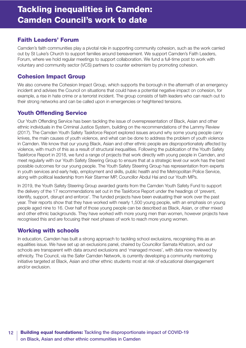### Faith Leaders' Forum

Camden's faith communities play a pivotal role in supporting community cohesion, such as the work carried out by St Luke's Church to support families around bereavement. We support Camden's Faith Leaders, Forum, where we hold regular meetings to support collaboration. We fund a full-time post to work with voluntary and community sector (VCS) partners to counter extremism by promoting cohesion.

### Cohesion Impact Group

We also convene the Cohesion Impact Group, which supports the borough in the aftermath of an emergency incident and advises the Council on situations that could have a potential negative impact on cohesion, for example, a rise in hate crime or a terrorist incident. The group consists of faith leaders who can reach out to their strong networks and can be called upon in emergencies or heightened tensions.

### Youth Offending Service

Our Youth Offending Service has been tackling the issue of overrepresentation of Black, Asian and other ethnic individuals in the Criminal Justice System, building on the recommendations of the Lammy Review (2017). The Camden Youth Safety Taskforce Report explored issues around why some young people carry knives, the main causes of youth violence, and what can be done to address the problem of youth violence in Camden. We know that our young Black, Asian and other ethnic people are disproportionately affected by violence, with much of this as a result of structural inequalities. Following the publication of the Youth Safety Taskforce Report in 2018, we fund a range of projects that work directly with young people in Camden, and meet regularly with our Youth Safety Steering Group to ensure that at a strategic level our work has the best possible outcomes for our young people. The Youth Safety Steering Group has representation from experts in youth services and early help, employment and skills, public health and the Metropolitan Police Service, along with political leadership from Keir Starmer MP, Councillor Abdul Hai and our Youth MPs.

In 2019, the Youth Safety Steering Group awarded grants from the Camden Youth Safety Fund to support the delivery of the 17 recommendations set out in the Taskforce Report under the headings of 'prevent, identify, support, disrupt and enforce'. The funded projects have been evaluating their work over the past year. Their reports show that they have worked with nearly 1,500 young people, with an emphasis on young people aged nine to 16. Over half of those young people can be described as Black, Asian, or other mixed and other ethnic backgrounds. They have worked with more young men than women, however projects have recognised this and are focusing their next phases of work to reach more young women.

### Working with schools

In education, Camden has built a strong approach to tackling school exclusions, recognising this as an equalities issue. We have set up an exclusions panel, chaired by Councillor Samata Khatoon, and our schools are transparent with data around exclusions and 'managed moves', with data now reviewed by ethnicity. The Council, via the Safer Camden Network, is currently developing a community mentoring initiative targeted at Black, Asian and other ethnic students most at risk of educational disengagement and/or exclusion.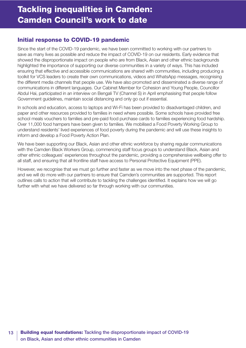### Initial response to COVID-19 pandemic

Since the start of the COVID-19 pandemic, we have been committed to working with our partners to save as many lives as possible and reduce the impact of COVID-19 on our residents. Early evidence that showed the disproportionate impact on people who are from Black, Asian and other ethnic backgrounds highlighted the importance of supporting our diverse communities in a variety of ways. This has included ensuring that effective and accessible communications are shared with communities, including producing a toolkit for VCS leaders to create their own communications, videos and WhatsApp messages, recognising the different media channels that people use. We have also promoted and disseminated a diverse range of communications in different languages. Our Cabinet Member for Cohesion and Young People, Councillor Abdul Hai, participated in an interview on Bengali TV (Channel S) in April emphasising that people follow Government guidelines, maintain social distancing and only go out if essential.

In schools and education, access to laptops and Wi-Fi has been provided to disadvantaged children, and paper and other resources provided to families in need where possible. Some schools have provided free school meals vouchers to families and pre-paid food purchase cards to families experiencing food hardship. Over 11,000 food hampers have been given to families. We mobilised a Food Poverty Working Group to understand residents' lived experiences of food poverty during the pandemic and will use these insights to inform and develop a Food Poverty Action Plan.

We have been supporting our Black, Asian and other ethnic workforce by sharing regular communications with the Camden Black Workers Group, commencing staff focus groups to understand Black, Asian and other ethnic colleagues' experiences throughout the pandemic, providing a comprehensive wellbeing offer to all staff, and ensuring that all frontline staff have access to Personal Protective Equipment (PPE).

However, we recognise that we must go further and faster as we move into the next phase of the pandemic, and we will do more with our partners to ensure that Camden's communities are supported. This report outlines calls to action that will contribute to tackling the challenges identified. It explains how we will go further with what we have delivered so far through working with our communities.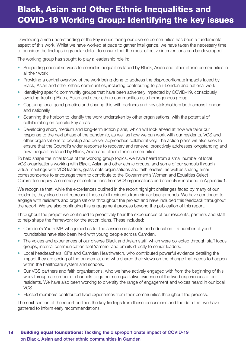# <span id="page-13-0"></span>Black, Asian and Other Ethnic Inequalities and COVID-19 Working Group: Identifying the key issues

Developing a rich understanding of the key issues facing our diverse communities has been a fundamental aspect of this work. Whilst we have worked at pace to gather intelligence, we have taken the necessary time to consider the findings in granular detail, to ensure that the most effective interventions can be developed.

The working group has sought to play a leadership role in:

- Supporting council services to consider inequalities faced by Black, Asian and other ethnic communities in all their work
- Providing a central overview of the work being done to address the disproportionate impacts faced by Black, Asian and other ethnic communities, including contributing to pan-London and national work
- Identifying specific community groups that have been adversely impacted by COVID-19, consciously avoiding treating Black, Asian and other ethnic communities as a homogenous group
- Capturing local good practice and sharing this with partners and key stakeholders both across London and nationally
- Scanning the horizon to identify the work undertaken by other organisations, with the potential of collaborating on specific key areas
- Developing short, medium and long-term action plans, which will look ahead at how we tailor our response to the next phase of the pandemic, as well as how we can work with our residents, VCS and other organisations to develop and deliver approaches collaboratively. The action plans will also seek to ensure that the Council's wider response to recovery and renewal proactively addresses longstanding and new inequalities faced by Black, Asian and other ethnic communities.

To help shape the initial focus of the working group topics, we have heard from a small number of local VCS organisations working with Black, Asian and other ethnic groups, and some of our schools through virtual meetings with VCS leaders, grassroots organisations and faith leaders, as well as sharing email correspondence to encourage them to contribute to the Government's Women and Equalities Select Committee inquiry. A summary of contributions from VCS organisations and schools is included in Appendix 1.

We recognise that, while the experiences outlined in the report highlight challenges faced by many of our residents, they also do not represent those of all residents from similar backgrounds. We have continued to engage with residents and organisations throughout the project and have included this feedback throughout the report. We are also continuing this engagement process beyond the publication of this report.

Throughout the project we continued to proactively hear the experiences of our residents, partners and staff to help shape the framework for the action plans. These included:

- Camden's Youth MP, who joined us for the session on schools and education a number of youth roundtables have also been held with young people across Camden.
- The voices and experiences of our diverse Black and Asian staff, which were collected through staff focus groups, internal communication tool Yammer and emails directly to senior leaders.
- Local headteachers, GPs and Camden Healthwatch, who contributed powerful evidence detailing the impact they are seeing of the pandemic, and who shared their views on the change that needs to happen within the healthcare system and schools.
- Our VCS partners and faith organisations, who we have actively engaged with from the beginning of this work through a number of channels to gather rich qualitative evidence of the lived experiences of our residents. We have also been working to diversify the range of engagement and voices heard in our local VCS.
- Elected members contributed lived experiences from their communities throughout the process.

The next section of the report outlines the key findings from these discussions and the data that we have gathered to inform early recommendations.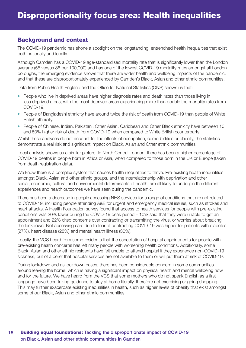### <span id="page-14-0"></span>Background and context

The COVID-19 pandemic has shone a spotlight on the longstanding, entrenched health inequalities that exist both nationally and locally.

Although Camden has a COVID-19 age-standardised mortality rate that is significantly lower than the London average (55 versus 86 per 100,000) and has one of the lowest COVID-19 mortality rates amongst all London boroughs, the emerging evidence shows that there are wider health and wellbeing impacts of the pandemic, and that these are disproportionately experienced by Camden's Black, Asian and other ethnic communities.

Data from Public Health England and the Office for National Statistics (ONS) shows us that:

- People who live in deprived areas have higher diagnosis rates and death rates than those living in less deprived areas, with the most deprived areas experiencing more than double the mortality rates from COVID-19.
- People of Bangladeshi ethnicity have around twice the risk of death from COVID-19 than people of White British ethnicity.
- People of Chinese, Indian, Pakistani, Other Asian, Caribbean and Other Black ethnicity have between 10 and 50% higher risk of death from COVID-19 when compared to White British counterparts.

Whilst these analyses do not account for the effects of occupation, comorbidities or obesity, the statistics demonstrate a real risk and significant impact on Black, Asian and Other ethnic communities.

Local analysis shows us a similar picture. In North Central London, there has been a higher percentage of COVID-19 deaths in people born in Africa or Asia, when compared to those born in the UK or Europe (taken from death registration data).

We know there is a complex system that causes health inequalities to thrive. Pre-existing health inequalities amongst Black, Asian and other ethnic groups, and the interrelationship with deprivation and other social, economic, cultural and environmental determinants of health, are all likely to underpin the different experiences and health outcomes we have seen during the pandemic.

There has been a decrease in people accessing NHS services for a range of conditions that are not related to COVID-19, including people attending A&E for urgent and emergency medical issues, such as strokes and heart attacks. A Health Foundation survey found that access to health services for people with pre-existing conditions was 20% lower during the COVID-19 peak period – 10% said that they were unable to get an appointment and 22% cited concerns over contracting or transmitting the virus, or worries about breaking the lockdown. Not accessing care due to fear of contracting COVID-19 was higher for patients with diabetes (27%), heart disease (28%) and mental health illness (30%).

Locally, the VCS heard from some residents that the cancellation of hospital appointments for people with pre-existing health concerns has left many people with worsening health conditions. Additionally, some Black, Asian and other ethnic residents have felt unable to attend hospital if they experience non-COVID-19 sickness, out of a belief that hospital services are not available to them or will put them at risk of COVID-19.

During lockdown and as lockdown eases, there has been considerable concern in some communities around leaving the home, which is having a significant impact on physical health and mental wellbeing now and for the future. We have heard from the VCS that some mothers who do not speak English as a first language have been taking guidance to stay at home literally, therefore not exercising or going shopping. This may further exacerbate existing inequalities in health, such as higher levels of obesity that exist amongst some of our Black, Asian and other ethnic communities.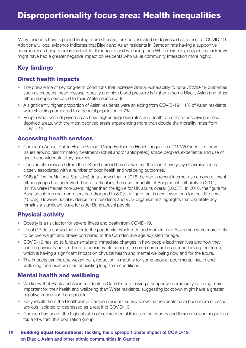Many residents have reported feeling more stressed, anxious, isolated or depressed as a result of COVID-19. Additionally, local evidence indicates that Black and Asian residents in Camden rate having a supportive community as being more important for their health and wellbeing than White residents, suggesting lockdown might have had a greater negative impact on residents who value community interaction more highly.

### Key findings

### Direct health impacts

- The prevalence of key long-term conditions that increase clinical vulnerability to poor COVID-19 outcomes such as diabetes, heart disease, obesity and high blood pressure is higher in some Black, Asian and other ethnic groups compared to their White counterparts.
- A significantly higher proportion of Asian residents were shielding from COVID-19: 11% of Asian residents were shielding compared to a general population of 7%.
- People who live in deprived areas have higher diagnosis rates and death rates than those living in less deprived areas, with the most deprived areas experiencing more than double the mortality rates from COVID-19.

### Accessing health services

- Camden's Annual Public Health Report 'Going Further on Health Inequalities 2019/20' identified how issues around discriminatory treatment (actual and/or anticipated) shape people's experience and use of health and wider statutory services.
- Considerable research from the UK and abroad has shown that the fear of everyday discrimination is closely associated with a number of poor health and wellbeing outcomes.
- ONS (Office for National Statistics) data shows that in 2018 the gap in recent internet use among different ethnic groups had narrowed. This is particularly the case for adults of Bangladeshi ethnicity. In 2011, 31.4% were internet non-users, higher than the figure for UK adults overall (20.3%). In 2018, the figure for Bangladeshi internet non-users had dropped to 8.0%, a figure that is now lower than for the UK overall (10.0%). However, local evidence from residents and VCS organisations highlights that digital literacy remains a significant issue for older Bangladeshi people.

### Physical activity

- Obesity is a risk factor for severe illness and death from COVID-19.
- Local GP data shows that prior to the pandemic, Black men and women, and Asian men were more likely to be overweight and obese compared to the Camden average adjusted for age.
- COVID-19 has led to fundamental and immediate changes in how people lead their lives and how they can be physically active. There is considerable concern in some communities around leaving the home, which is having a significant impact on physical health and mental wellbeing now and for the future.
- The impacts can include weight gain, reduction in mobility for some people, poor mental health and wellbeing, and exacerbation of existing long-term conditions.

### Mental health and wellbeing

- We know that Black and Asian residents in Camden rate having a supportive community as being more important for their health and wellbeing than White residents, suggesting lockdown might have a greater negative impact for these people.
- Early results from the Healthwatch Camden resident survey show that residents have been more stressed, anxious, isolated or depressed as a result of COVID-19.
- Camden has one of the highest rates of severe mental illness in the country and there are clear inequalities for, and within, this population group.

#### 16 | Building equal foundations: Tackling the disproportionate impact of COVID-19 on Black, Asian and other ethnic communities in Camden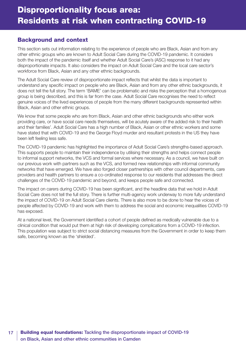### <span id="page-16-0"></span>Background and context

This section sets out information relating to the experience of people who are Black, Asian and from any other ethnic groups who are known to Adult Social Care during the COVID-19 pandemic. It considers both the impact of the pandemic itself and whether Adult Social Care's (ASC) response to it had any disproportionate impacts. It also considers the impact on Adult Social Care and the local care sector's workforce from Black, Asian and any other ethnic backgrounds.

The Adult Social Care review of disproportionate impact reflects that whilst the data is important to understand any specific impact on people who are Black, Asian and from any other ethnic backgrounds, it does not tell the full story. The term 'BAME' can be problematic and risks the perception that a homogenous group is being described, and this is far from the case. Adult Social Care recognises the need to reflect genuine voices of the lived experiences of people from the many different backgrounds represented within Black, Asian and other ethnic groups.

We know that some people who are from Black, Asian and other ethnic backgrounds who either work providing care, or have social care needs themselves, will be acutely aware of the added risk to their health and their families'. Adult Social Care has a high number of Black, Asian or other ethnic workers and some have stated that with COVID-19 and the George Floyd murder and resultant protests in the US they have been left feeling less safe.

The COVID-19 pandemic has highlighted the importance of Adult Social Care's strengths-based approach. This supports people to maintain their independence by utilising their strengths and helps connect people to informal support networks, the VCS and formal services where necessary. As a council, we have built on our previous work with partners such as the VCS, and formed new relationships with informal community networks that have emerged. We have also forged closer partnerships with other council departments, care providers and health partners to ensure a co-ordinated response to our residents that addresses the direct challenges of the COVID-19 pandemic and beyond, and keeps people safe and connected.

The impact on carers during COVID-19 has been significant, and the headline data that we hold in Adult Social Care does not tell the full story. There is further multi-agency work underway to more fully understand the impact of COVID-19 on Adult Social Care clients. There is also more to be done to hear the voices of people affected by COVID-19 and work with them to address the social and economic inequalities COVID-19 has exposed.

At a national level, the Government identified a cohort of people defined as medically vulnerable due to a clinical condition that would put them at high risk of developing complications from a COVID-19 infection. This population was subject to strict social distancing measures from the Government in order to keep them safe, becoming known as the 'shielded'.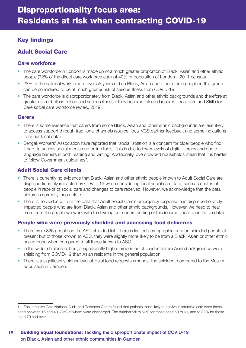### Key findings

### Adult Social Care

### **Care workforce**

- The care workforce in London is made up of a much greater proportion of Black, Asian and other ethnic people (72% of the direct care workforce against 40% of population of London – 2011 census).
- 23% of the national workforce is over 55 years old so Black, Asian and other ethnic people in this group can be considered to be at much greater risk of serious illness from COVID-19.
- The care workforce is disproportionately from Black, Asian and other ethnic backgrounds and therefore at greater risk of both infection and serious illness if they become infected (source: local data and Skills for Care social care workforce review, 2019).**1**

### **Carers**

- There is some evidence that carers from some Black, Asian and other ethnic backgrounds are less likely to access support through traditional channels (source: local VCS partner feedback and some indications from our local data).
- Bengali Workers' Association have reported that "social isolation is a concern for older people who find it hard to access social media and online tools. This is due to lower levels of digital literacy and due to language barriers in both reading and writing. Additionally, overcrowded households mean that it is harder to follow Government guidelines".

### Adult Social Care clients

- There is currently no evidence that Black, Asian and other ethnic people known to Adult Social Care are disproportionately impacted by COVID-19 when considering local social care data, such as deaths of people in receipt of social care and changes to care received. However, we acknowledge that the data picture is currently incomplete.
- There is no evidence from the data that Adult Social Care's emergency response has disproportionately impacted people who are from Black, Asian and other ethnic backgrounds. However, we need to hear more from the people we work with to develop our understanding of this (source: local quantitative data).

### People who were previously shielded and accessing food deliveries

- There were 826 people on the ASC shielded list. There is limited demographic data on shielded people at present but of those known to ASC, they were slightly more likely to be from a Black, Asian or other ethnic background when compared to all those known to ASC.
- In the wider shielded cohort, a significantly higher proportion of residents from Asian backgrounds were shielding from COVID-19 than Asian residents in the general population.
- There is a significantly higher level of Halal food requests amongst the shielded, compared to the Muslim population in Camden.

**<sup>1</sup>** The Intensive Care National Audit and Research Centre found that patients most likely to survive in intensive care were those aged between 16 and 49, 76% of whom were discharged. The number fell to 50% for those aged 50 to 69, and to 32% for those aged 70 and over.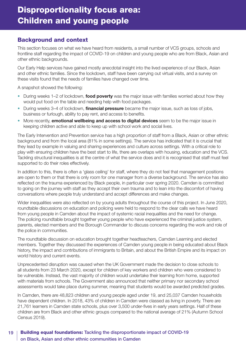### <span id="page-18-0"></span>Background and context

This section focuses on what we have heard from residents, a small number of VCS groups, schools and frontline staff regarding the impact of COVID-19 on children and young people who are from Black, Asian and other ethnic backgrounds.

Our Early Help services have gained mostly anecdotal insight into the lived experience of our Black, Asian and other ethnic families. Since the lockdown, staff have been carrying out virtual visits, and a survey on these visits found that the needs of families have changed over time.

A snapshot showed the following:

- During weeks 1–2 of lockdown, **food poverty** was the major issue with families worried about how they would put food on the table and needing help with food packages.
- During weeks 3–4 of lockdown, **financial pressure** became the major issue, such as loss of jobs, business or furlough, ability to pay rent, and access to benefits.
- More recently, **emotional wellbeing and access to digital devices** seem to be the major issue in keeping children active and able to keep up with school work and social lives.

The Early Intervention and Prevention service has a high proportion of staff from a Black, Asian or other ethnic background and from the local area (81% in some settings). The service has indicated that it is crucial that they lead by example in valuing and sharing experiences and culture across settings. With a critical role to play with ensuring children have the best start to life, there are overlaps with housing, education and the VCS. Tackling structural inequalities is at the centre of what the service does and it is recognised that staff must feel supported to do their roles effectively.

In addition to this, there is often a 'glass ceiling' for staff, where they do not feel that management positions are open to them or that there is only room for one manager from a diverse background. The service has also reflected on the trauma experienced by Black people, in particular over spring 2020. Camden is committed to going on the journey with staff as they accept their own trauma and to lean into the discomfort of having conversations where people truly understand and accept differences and make changes.

Wider inequalities were also reflected on by young adults throughout the course of this project. In June 2020, roundtable discussions on education and policing were held to respond to the clear calls we have heard from young people in Camden about the impact of systemic racial inequalities and the need for change. The policing roundtable brought together young people who have experienced the criminal justice system, parents, elected members and the Borough Commander to discuss concerns regarding the work and role of the police in communities.

The roundtable discussion on education brought together headteachers, Camden Learning and elected members. Together they discussed the experiences of Camden young people in being educated about Black history, the impact and contributions of immigrants to Britain, and about the British Empire and its impact on world history and current events.

Unprecedented disruption was caused when the UK Government made the decision to close schools to all students from 23 March 2020, except for children of key workers and children who were considered to be vulnerable. Instead, the vast majority of children would undertake their learning from home, supported with materials from schools. The Government also announced that neither primary nor secondary school assessments would take place during summer, meaning that students would be awarded predicted grades.

In Camden, there are 48,823 children and young people aged under 19, and 25,037 Camden households have dependent children. In 2018, 43% of children in Camden were classed as living in poverty. There are 21,761 learners in Camden state schools, plus over 3,500 under-fives in early years settings. Half of these children are from Black and other ethnic groups compared to the national average of 21% (Autumn School Census 2019).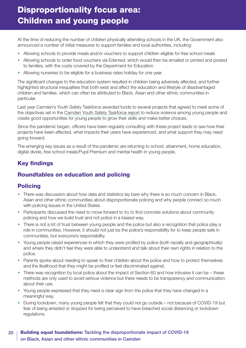# Disproportionality focus area: Children and young people

At the time of reducing the number of children physically attending schools in the UK, the Government also announced a number of initial measures to support families and local authorities, including:

- Allowing schools to provide meals and/or vouchers to support children eligible for free school meals
- Allowing schools to order food vouchers via Edenred, which would then be emailed or printed and posted to families, with the costs covered by the Department for Education
- Allowing nurseries to be eligible for a business rates holiday for one year.

The significant changes to the education system resulted in children being adversely affected, and further highlighted structural inequalities that both exist and affect the education and lifestyle of disadvantaged children and families, which can often be attributed to Black, Asian and other ethnic communities in particular.

Last year Camden's Youth Safety Taskforce awarded funds to several projects that agreed to meet some of the objectives set in the [Camden Youth Safety Taskforce report](https://www.camden.gov.uk/youth-safety-taskforce) to reduce violence among young people and create good opportunities for young people to grow their skills and make better choices.

Since the pandemic began, officers have been regularly consulting with these project leads to see how their projects have been affected, what impacts their users have experienced, and what support they may need going forward.

The emerging key issues as a result of the pandemic are returning to school, attainment, home education, digital divide, free school meals/Pupil Premium and mental health in young people.

### Key findings

### Roundtables on education and policing

### Policing

- There was discussion about how data and statistics lay bare why there is so much concern in Black, Asian and other ethnic communities about disproportionate policing and why people connect so much with policing issues in the United States.
- Participants discussed the need to move forward to try to find concrete solutions about community policing and how we build trust and not police in a biased way.
- There is not a lot of trust between young people and the police but also a recognition that police play a role in communities. However, it should not just be the police's responsibility for to keep people safe in communities, but everyone's responsibility.
- Young people raised experiences in which they were profiled by police (both racially and geographically) and where they didn't feel they were able to understand and talk about their own rights in relation to the police.
- Parents spoke about needing to speak to their children about the police and how to protect themselves and the likelihood that they might be profiled or feel discriminated against.
- There was recognition by local police about the impact of Section 60 and how intrusive it can be these methods are only used to avoid serious violence but there needs to be transparency and communication about their use.
- Young people expressed that they need a clear sign from the police that they have changed in a meaningful way.
- During lockdown, many young people felt that they could not go outside not because of COVID-19 but fear of being arrested or stopped for being perceived to have breached social distancing or lockdown regulations.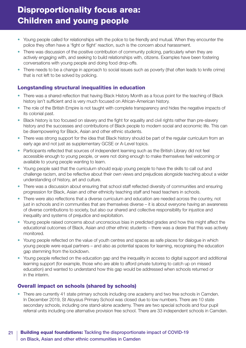### Disproportionality focus area: Children and young people

- Young people called for relationships with the police to be friendly and mutual. When they encounter the police they often have a 'fight or flight' reaction, such is the concern about harassment.
- There was discussion of the positive contribution of community policing, particularly when they are actively engaging with, and seeking to build relationships with, citizens. Examples have been fostering conversations with young people and doing food drop-offs.
- There needs to be a change in approach to social issues such as poverty (that often leads to knife crime) that is not left to be solved by policing.

### Longstanding structural inequalities in education

- There was a shared reflection that having Black History Month as a focus point for the teaching of Black history isn't sufficient and is very much focused on African-American history.
- The role of the British Empire is not taught with complete transparency and hides the negative impacts of its colonial past.
- Black history is too focused on slavery and the fight for equality and civil rights rather than pre-slavery history and the successes and contributions of Black people to modern social and economic life. This can be disempowering for Black, Asian and other ethnic students.
- There was strong support for the idea that Black history should be part of the regular curriculum from an early age and not just as supplementary GCSE or A-Level topics.
- Participants reflected that sources of independent learning such as the British Library did not feel accessible enough to young people, or were not doing enough to make themselves feel welcoming or available to young people wanting to learn.
- Young people said that the curriculum should equip young people to have the skills to call out and challenge racism, and be reflective about their own views and prejudices alongside teaching about a wider understanding of history, art and culture.
- There was a discussion about ensuring that school staff reflected diversity of communities and ensuring progression for Black, Asian and other ethnicity teaching staff and head teachers in schools.
- There were also reflections that a diverse curriculum and education are needed across the country, not just in schools and in communities that are themselves diverse – it is about everyone having an awareness of diverse contributions to society, but also our shared and collective responsibility for injustice and inequality and systems of prejudice and exploitation.
- Young people raised concerns about unconscious bias in predicted grades and how this might affect the educational outcomes of Black, Asian and other ethnic students – there was a desire that this was actively monitored.
- Young people reflected on the value of youth centres and spaces as safe places for dialogue in which young people were equal partners – and also as potential spaces for learning, recognising the education gap stemming from the lockdown.
- Young people reflected on the education gap and the inequality in access to digital support and additional learning support (for example, those who are able to afford private tutoring to catch up on missed education) and wanted to understand how this gap would be addressed when schools returned or in the interim.

### Overall impact on schools (shared by schools)

• There are currently 41 state primary schools including one academy and two free schools in Camden. In December 2019, St Aloysius Primary School was closed due to low numbers. There are 10 state secondary schools, including one stand-alone academy. There are two special schools and four pupil referral units including one alternative provision free school. There are 33 independent schools in Camden.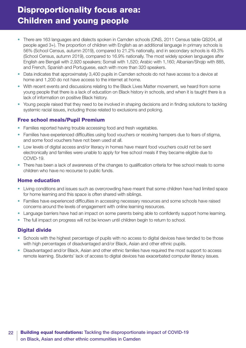## Disproportionality focus area: Children and young people

- There are 163 languages and dialects spoken in Camden schools (ONS, 2011 Census table QS204, all people aged 3+). The proportion of children with English as an additional language in primary schools is 56% (School Census, autumn 2019), compared to 21.2% nationally, and in secondary schools is 49.3% (School Census, autumn 2019), compared to 16.9% nationally. The most widely spoken languages after English are Bengali with 2,920 speakers; Somali with 1,520; Arabic with 1,160; Albanian/Shqip with 885, and French, Spanish and Portuguese, each with more than 320 speakers.
- Data indicates that approximately 3,400 pupils in Camden schools do not have access to a device at home and 1,200 do not have access to the internet at home.
- With recent events and discussions relating to the Black Lives Matter movement, we heard from some young people that there is a lack of education on Black history in schools, and when it is taught there is a lack of information on positive Black history.
- Young people raised that they need to be involved in shaping decisions and in finding solutions to tackling systemic racial issues, including those related to exclusions and policing.

#### Free school meals/Pupil Premium

- Families reported having trouble accessing food and fresh vegetables.
- Families have experienced difficulties using food vouchers or receiving hampers due to fears of stigma, and some food vouchers have not been used at all.
- Low levels of digital access and/or literacy in homes have meant food vouchers could not be sent electronically and families were unable to apply for free school meals if they became eligible due to COVID-19.
- There has been a lack of awareness of the changes to qualification criteria for free school meals to some children who have no recourse to public funds.

#### Home education

- Living conditions and issues such as overcrowding have meant that some children have had limited space for home learning and this space is often shared with siblings.
- Families have experienced difficulties in accessing necessary resources and some schools have raised concerns around the levels of engagement with online learning resources.
- Language barriers have had an impact on some parents being able to confidently support home learning.
- The full impact on progress will not be known until children begin to return to school.

### Digital divide

- Schools with the highest percentage of pupils with no access to digital devices have tended to be those with high percentages of disadvantaged and/or Black, Asian and other ethnic pupils.
- Disadvantaged and/or Black, Asian and other ethnic families have required the most support to access remote learning. Students' lack of access to digital devices has exacerbated computer literacy issues.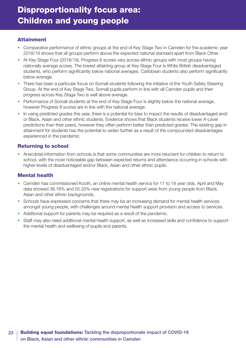### **Attainment**

- Comparative performance of ethnic groups at the end of Key Stage Two in Camden for the academic year 2018/19 shows that all groups perform above the expected national standard apart from Black Other.
- At Key Stage Four (2018/19), Progress 8 scores vary across ethnic groups with most groups having nationally average scores. The lowest attaining group at Key Stage Four is White British disadvantaged students, who perform significantly below national averages. Caribbean students also perform significantly below average.
- There has been a particular focus on Somali students following the initiative of the Youth Safety Steering Group. At the end of Key Stage Two, Somali pupils perform in line with all Camden pupils and their progress across Key Stage Two is well above average.
- Performance of Somali students at the end of Key Stage Four is slightly below the national average, however Progress 8 scores are in line with the national average.
- In using predicted grades this year, there is a potential for bias to impact the results of disadvantaged and/ or Black, Asian and other ethnic students. Evidence shows that Black students receive lower A-Level predictions than their peers, however they often perform better than predicted grades. The existing gap in attainment for students has the potential to widen further as a result of the compounded disadvantages experienced in the pandemic.

### Returning to school

• Anecdotal information from schools is that some communities are more reluctant for children to return to school, with the most noticeable gap between expected returns and attendance occurring in schools with higher levels of disadvantaged and/or Black, Asian and other ethnic pupils.

### Mental health

- Camden has commissioned Kooth, an online mental health service for 11 to 18 year olds. April and May data showed 38.16% and 55.33% new registrations for support were from young people from Black, Asian and other ethnic backgrounds.
- Schools have expressed concerns that there may be an increasing demand for mental health services amongst young people, with challenges around mental health support provision and access to services.
- Additional support for parents may be required as a result of the pandemic.
- Staff may also need additional mental health support, as well as increased skills and confidence to support the mental health and wellbeing of pupils and parents.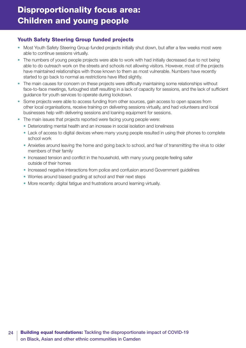### Youth Safety Steering Group funded projects

- Most Youth Safety Steering Group funded projects initially shut down, but after a few weeks most were able to continue sessions virtually.
- The numbers of young people projects were able to work with had initially decreased due to not being able to do outreach work on the streets and schools not allowing visitors. However, most of the projects have maintained relationships with those known to them as most vulnerable. Numbers have recently started to go back to normal as restrictions have lifted slightly.
- The main causes for concern on these projects were difficulty maintaining some relationships without face-to-face meetings, furloughed staff resulting in a lack of capacity for sessions, and the lack of sufficient guidance for youth services to operate during lockdown.
- Some projects were able to access funding from other sources, gain access to open spaces from other local organisations, receive training on delivering sessions virtually, and had volunteers and local businesses help with delivering sessions and loaning equipment for sessions.
- The main issues that projects reported were facing young people were:
	- Deteriorating mental health and an increase in social isolation and loneliness
	- Lack of access to digital devices where many young people resulted in using their phones to complete school work
	- Anxieties around leaving the home and going back to school, and fear of transmitting the virus to older members of their family
	- Increased tension and conflict in the household, with many young people feeling safer outside of their homes
	- Increased negative interactions from police and confusion around Government guidelines
	- Worries around biased grading at school and their next steps
	- More recently: digital fatigue and frustrations around learning virtually.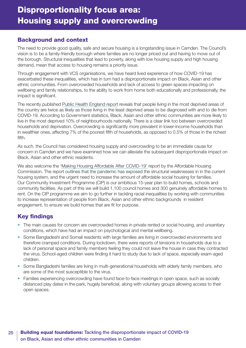### <span id="page-24-0"></span>Background and context

The need to provide good quality, safe and secure housing is a longstanding issue in Camden. The Council's vision is to be a family-friendly borough where families are no longer priced out and having to move out of the borough. Structural inequalities that lead to poverty, along with low housing supply and high housing demand, mean that access to housing remains a priority issue.

Through engagement with VCS organisations, we have heard lived experience of how COVID-19 has exacerbated these inequalities, which has in turn had a disproportionate impact on Black, Asian and other ethnic communities. From overcrowded households and lack of access to green spaces impacting on wellbeing and family relationships, to the ability to work from home both educationally and professionally, the impact is significant.

The recently published [Public Health England report](https://www.gov.uk/government/publications/covid-19-review-of-disparities-in-risks-and-outcomes) reveals that people living in the most deprived areas of the country are twice as likely as those living in the least deprived areas to be diagnosed with and to die from COVID-19. According to Government statistics, Black, Asian and other ethnic communities are more likely to live in the most deprived 10% of neighbourhoods nationally. There is a clear link too between overcrowded households and deprivation. Overcrowding is significantly more prevalent in lower-income households than in wealthier ones, affecting 7% of the poorest fifth of households, as opposed to 0.5% of those in the richest fifth.

As such, the Council has considered housing supply and overcrowding to be an immediate cause for concern in Camden and we have examined how we can alleviate the subsequent disproportionate impact on Black, Asian and other ethnic residents.

We also welcome the '[Making Housing Affordable After COVID-19'](https://www.affordablehousingcommission.org) report by the Affordable Housing Commission. The report outlines that the pandemic has exposed the structural weaknesses in in the current housing system, and the urgent need to increase the amount of affordable social housing for families. Our Community Investment Programme (CIP) is our ambitious 15-year plan to build homes, schools and community facilities. As part of this we will build 1,100 council homes and 300 genuinely affordable homes to rent. On the CIP programme we aim to go further in tackling racial inequalities by working with communities to increase representation of people from Black, Asian and other ethnic backgrounds in resident engagement, to ensure we build homes that are fit for purpose.

### Key findings

- The main causes for concern are overcrowded homes in private rented or social housing, and unsanitary conditions, which have had an impact on psychological and mental wellbeing.
- Some Bangladeshi and Somali residents with large families are living in overcrowded environments and therefore cramped conditions. During lockdown, there were reports of tensions in households due to a lack of personal space and family members feeling they could not leave the house in case they contracted the virus. School-aged children were finding it hard to study due to lack of space, especially exam-aged children.
- Some Bangladeshi families are living in multi-generational households with elderly family members, who are some of the most susceptible to the virus.
- Families experiencing overcrowding have found face-to-face meetings in open space, such as socially distanced play dates in the park, hugely beneficial, along with voluntary groups allowing access to their open spaces.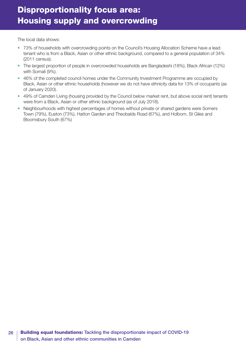## Disproportionality focus area: Housing supply and overcrowding

The local data shows:

- 73% of households with overcrowding points on the Council's Housing Allocation Scheme have a lead tenant who is from a Black, Asian or other ethnic background, compared to a general population of 34% (2011 census).
- The largest proportion of people in overcrowded households are Bangladeshi (18%), Black African (12%) with Somali (9%).
- 46% of the completed council homes under the Community Investment Programme are occupied by Black, Asian or other ethnic households (however we do not have ethnicity data for 13% of occupants (as of January 2020).
- 49% of Camden Living (housing provided by the Council below market rent, but above social rent) tenants were from a Black, Asian or other ethnic background (as of July 2018).
- Neighbourhoods with highest percentages of homes without private or shared gardens were Somers Town (79%), Euston (73%), Hatton Garden and Theobalds Road (67%), and Holborn, St Giles and Bloomsbury South (67%)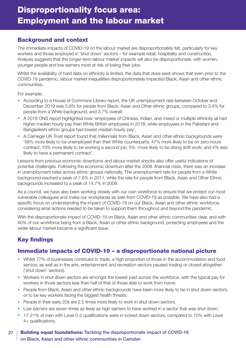### <span id="page-26-0"></span>Background and context

The immediate impacts of COVID-19 on the labour market are disproportionately felt, particularly for key workers and those employed in 'shut down' sectors – for example retail, hospitality and construction. Analysis suggests that the longer-term labour market impacts will also be disproportionate, with women, younger people and low earners most at risk of losing their jobs.

Whilst the availability of hard data on ethnicity is limited, the data that does exist shows that even prior to the COVID-19 pandemic, labour market inequalities disproportionately impacted Black, Asian and other ethnic communities.

For example:

- According to a House of Commons Library report, the UK unemployment rate between October and December 2019 was 5.8% for people from Black, Asian and Other ethnic groups, compared to 3.4% for people from a White background, and 3.7% overall.
- A 2018 ONS report highlighted how 'employees of Chinese, Indian, and mixed or multiple ethnicity all had higher median hourly pay than White British employees in 2018; while employees in the Pakistani and Bangladeshi ethnic groups had lowest median hourly pay'.
- A Carnegie UK Trust report found that millennials from Black, Asian and other ethnic backgrounds were '58% more likely to be unemployed than their White counterparts; 47% more likely to be on zero-hours contract; 10% more likely to be working a second job; 5% more likely to be doing shift work; and 4% less likely to have a permanent contract'.

Lessons from previous economic downturns and labour market shocks also offer useful indications of potential challenges. Following the economic downturn after the 2008 financial crisis, there was an increase in unemployment rates across ethnic groups nationally. The unemployment rate for people from a White background reached a peak of 7.8% in 2011, while the rate for people from Black, Asian and Other Ethnic backgrounds increased to a peak of 14.7% in 2009.

As a council, we have also been working closely with our own workforce to ensure that we protect our most vulnerable colleagues and make our workplaces as safe from COVID-19 as possible. We have also had a specific focus on understanding the impact of COVID-19 on our Black, Asian and other ethnic workforce, considering what actions needed to be taken to support them throughout and beyond the pandemic.

With the disproportionate impact of COVID-19 on Black, Asian and other ethnic communities clear, and with 40% of our workforce being from a Black, Asian or other ethnic background, protecting employees and the wider labour market became a significant issue.

### Key findings

### Immediate impacts of COVID-19 – a disproportionate national picture

- Whilst 77% of businesses continued to trade, a high proportion of those in the accommodation and food service, as well as in the arts, entertainment and recreation sectors paused trading or closed altogether ('shut down' sectors).
- Workers in shut down sectors are amongst the lowest paid across the workforce, with the typical pay for workers in those sectors less than half of that of those able to work from home.
- People from Black, Asian and other ethnic backgrounds have been more likely to be in shut down sectors, or to be key workers facing the biggest health threats.
- People in their early 20s are 2.5 times more likely to work in shut down sectors.
- Low earners are seven times as likely as high earners to have worked in a sector that was shut down.
- 17-21% of men with Level 0-2 qualifications were in locked down sectors, compared to 10% with Level 4+ qualifications.

### 27 | Building equal foundations: Tackling the disproportionate impact of COVID-19 on Black, Asian and other ethnic communities in Camden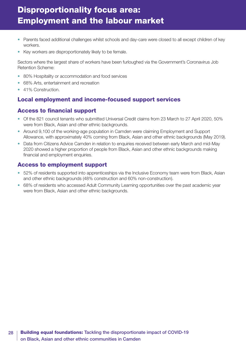# Disproportionality focus area: Employment and the labour market

- Parents faced additional challenges whilst schools and day-care were closed to all except children of key workers.
- Key workers are disproportionately likely to be female.

Sectors where the largest share of workers have been furloughed via the Government's Coronavirus Job Retention Scheme:

- 80% Hospitality or accommodation and food services
- 68% Arts, entertainment and recreation
- 41% Construction.

### Local employment and income-focused support services

### Access to financial support

- Of the 821 council tenants who submitted Universal Credit claims from 23 March to 27 April 2020, 50% were from Black, Asian and other ethnic backgrounds.
- Around 9,100 of the working-age population in Camden were claiming Employment and Support Allowance, with approximately 40% coming from Black, Asian and other ethnic backgrounds (May 2019).
- Data from Citizens Advice Camden in relation to enquiries received between early March and mid-May 2020 showed a higher proportion of people from Black, Asian and other ethnic backgrounds making financial and employment enquiries.

### Access to employment support

- 52% of residents supported into apprenticeships via the Inclusive Economy team were from Black, Asian and other ethnic backgrounds (48% construction and 60% non-construction).
- 68% of residents who accessed Adult Community Learning opportunities over the past academic year were from Black, Asian and other ethnic backgrounds.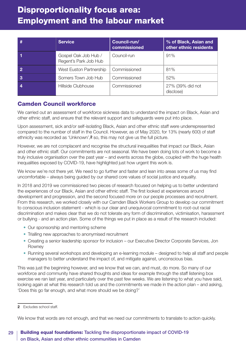# Disproportionality focus area: Employment and the labour market

| #                | <b>Service</b>                                | Council-run/<br>commissioned | % of Black, Asian and<br>other ethnic residents |
|------------------|-----------------------------------------------|------------------------------|-------------------------------------------------|
|                  | Gospel Oak Job Hub /<br>Regent's Park Job Hub | Council-run                  | 91%                                             |
| $\overline{2}$   | West Euston Partnership                       | Commissioned                 | 81%                                             |
| -3               | Somers Town Job Hub                           | Commissioned                 | 52%                                             |
| $\boldsymbol{4}$ | Hillside Clubhouse                            | Commissioned                 | 27% (39% did not<br>disclose)                   |

### Camden Council workforce

We carried out an assessment of workforce sickness data to understand the impact on Black, Asian and other ethnic staff, and ensure that the relevant support and safeguards were put into place.

Upon assessment, sick and/or self-isolating Black, Asian and other ethnic staff were underrepresented compared to the number of staff in the Council. However, as of May 2020, for 13% (nearly 600) of staff ethnicity was recorded as 'Unknown',**2** so, this may not give us the full picture.

However, we are not complacent and recognise the structural inequalities that impact our Black, Asian and other ethnic staff. Our commitments are not seasonal. We have been doing lots of work to become a truly inclusive organisation over the past year – and events across the globe, coupled with the huge health inequalities exposed by COVID-19, have highlighted just how urgent this work is.

We know we're not there yet. We need to go further and faster and lean into areas some of us may find uncomfortable – always being guided by our shared core values of social justice and equality.

In 2018 and 2019 we commissioned two pieces of research focused on helping us to better understand the experiences of our Black, Asian and other ethnic staff. The first looked at experiences around development and progression, and the second focused more on our people processes and recruitment. From this research, we worked closely with our Camden Black Workers Group to develop our commitment to conscious inclusion statement - which is our clear and unequivocal commitment to root-out racial discrimination and makes clear that we do not tolerate any form of discrimination, victimisation, harassment or bullying - and an action plan. Some of the things we put in place as a result of the research included:

- Our sponsorship and mentoring scheme
- Trialling new approaches to anonymised recruitment
- Creating a senior leadership sponsor for inclusion our Executive Director Corporate Services, Jon Rowney
- Running several workshops and developing an e-learning module designed to help all staff and people managers to better understand the impact of, and mitigate against, unconscious bias.

This was just the beginning however, and we know that we can, and must, do more. So many of our workforce and community have shared thoughts and ideas for example through the staff listening box exercise we ran last year, and particularly over the past few weeks. We are listening to what you have said, looking again at what this research told us and the commitments we made in the action plan – and asking, 'Does this go far enough, and what more should we be doing?'

We know that words are not enough, and that we need our commitments to translate to action quickly.

**<sup>2</sup>** Excludes school staff.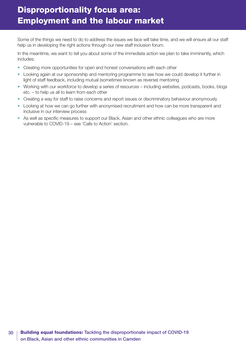Some of the things we need to do to address the issues we face will take time, and we will ensure all our staff help us in developing the right actions through our new staff inclusion forum.

In the meantime, we want to tell you about some of the immediate action we plan to take imminently, which includes:

- Creating more opportunities for open and honest conversations with each other
- Looking again at our sponsorship and mentoring programme to see how we could develop it further in light of staff feedback, including mutual (sometimes known as reverse) mentoring
- Working with our workforce to develop a series of resources including websites, podcasts, books, blogs etc. – to help us all to learn from each other
- Creating a way for staff to raise concerns and report issues or discriminatory behaviour anonymously
- Looking at how we can go further with anonymised recruitment and how can be more transparent and inclusive in our interview process
- As well as specific measures to support our Black, Asian and other ethnic colleagues who are more vulnerable to COVID-19 – see 'Calls to Action' section.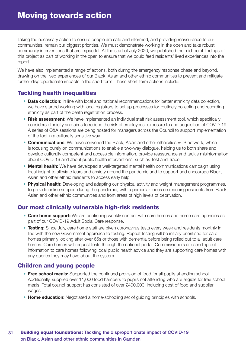<span id="page-30-0"></span>Taking the necessary action to ensure people are safe and informed, and providing reassurance to our communities, remain our biggest priorities. We must demonstrate working in the open and take robust community interventions that are impactful. At the start of July 2020, we published the [mid-point findings](http://www.camden.gov.uk/disproportionalityevidence) of this project as part of working in the open to ensure that we could feed residents' lived experiences into the report.

We have also implemented a range of actions, both during the emergency response phase and beyond, drawing on the lived experiences of our Black, Asian and other ethnic communities to prevent and mitigate further disproportionate impacts in the short term. These short-term actions include:

### Tackling health inequalities

- **Data collection:** In line with local and national recommendations for better ethnicity data collection, we have started working with local registrars to set up processes for routinely collecting and recording ethnicity as part of the death registration process.
- **Risk assessment:** We have implemented an individual staff risk assessment tool, which specifically considers ethnicity and aims to reduce the risk of employees' exposure to and acquisition of COVID-19. A series of Q&A sessions are being hosted for managers across the Council to support implementation of the tool in a culturally sensitive way.
- **Communications:** We have convened the Black, Asian and other ethnicities VCS network, which is focusing purely on communications to enable a two-way dialogue, helping us to both share and develop culturally competent and accessible information, provide reassurance and tackle misinformation about COVID-19 and about public health interventions, such as Test and Trace.
- **Mental health:** We have developed a well-targeted mental health communications campaign using local insight to alleviate fears and anxiety around the pandemic and to support and encourage Black, Asian and other ethnic residents to access early help.
- **Physical health:** Developing and adapting our physical activity and weight management programmes, to provide online support during the pandemic, with a particular focus on reaching residents from Black, Asian and other ethnic communities and from areas of high levels of deprivation.

### Our most clinically vulnerable high-risk residents

- **Care home support:** We are continuing weekly contact with care homes and home care agencies as part of our COVID-19 Adult Social Care response.
- **Testing:** Since July, care home staff are given coronavirus tests every week and residents monthly in line with the new Government approach to testing. Repeat testing will be initially prioritised for care homes primarily looking after over 65s or those with dementia before being rolled out to all adult care homes. Care homes will request tests through the national portal. Commissioners are sending out information to care homes following local public health advice and they are supporting care homes with any queries they may have about the system.

### Children and young people

- **Free school meals:** Supported the continued provision of food for all pupils attending school. Additionally, supplied over 11,000 food hampers to pupils not attending who are eligible for free school meals. Total council support has consisted of over £400,000, including cost of food and supplier wages.
- **Home education:** Negotiated a home-schooling set of guiding principles with schools.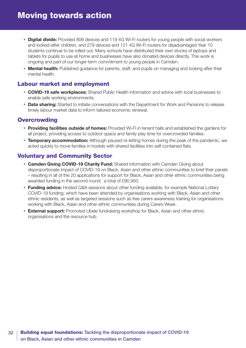- **Digital divide:** Provided 806 devices and 119 4G Wi-Fi routers for young people with social workers and looked-after children, and 279 devices and 121 4G Wi-Fi routers for disadvantaged Year 10 students continue to be rolled out. Many schools have distributed their own stocks of laptops and tablets for pupils to use at home and businesses have also donated devices directly. This work is ongoing and part of our longer-term commitment to young people in Camden.
- **Mental health:** Published guidance for parents, staff, and pupils on managing and looking after their mental health.

### Labour market and employment

- **COVID-19 safe workplaces:** Shared Public Health information and advice with local businesses to enable safe working environments.
- **Data sharing:** Started to initiate conversations with the Department for Work and Pensions to release timely labour market data to inform tailored economic renewal.

### **Overcrowding**

- **Providing facilities outside of homes:** Provided Wi-Fi in tenant halls and established the gardens for all project, providing access to outdoor space and family play time for overcrowded families.
- **Temporary accommodation:** Although paused re-letting homes during the peak of the pandemic, we acted quickly to move families in hostels with shared facilities into self-contained flats.

### Voluntary and Community Sector

- **Camden Giving COVID-19 Charity Fund:** Shared information with Camden Giving about disproportionate impact of COVID-19 on Black, Asian and other ethnic communities to brief their panels – resulting in all of the 20 applications for support for Black, Asian and other ethnic communities being awarded funding in the second round; a total of £90,950.
- **Funding advice:** Hosted Q&A sessions about other funding available, for example National Lottery COVID-19 funding, which have been attended by organisations working with Black, Asian and other ethnic residents, as well as targeted sessions such as free carers awareness training for organisations working with Black, Asian and other ethnic communities during Carers Week.
- **External support:** Promoted Ubele fundraising workshop for Black, Asian and other ethnic organisations and the resource hub.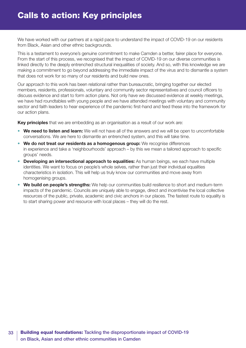<span id="page-32-0"></span>We have worked with our partners at a rapid pace to understand the impact of COVID-19 on our residents from Black, Asian and other ethnic backgrounds.

This is a testament to everyone's genuine commitment to make Camden a better, fairer place for everyone. From the start of this process, we recognised that the impact of COVID-19 on our diverse communities is linked directly to the deeply entrenched structural inequalities of society. And so, with this knowledge we are making a commitment to go beyond addressing the immediate impact of the virus and to dismantle a system that does not work for so many of our residents and build new ones.

Our approach to this work has been relational rather than bureaucratic, bringing together our elected members, residents, professionals, voluntary and community sector representatives and council officers to discuss evidence and start to form action plans. Not only have we discussed evidence at weekly meetings, we have had roundtables with young people and we have attended meetings with voluntary and community sector and faith leaders to hear experience of the pandemic first-hand and feed these into the framework for our action plans.

**Key principles** that we are embedding as an organisation as a result of our work are:

- **We need to listen and learn:** We will not have all of the answers and we will be open to uncomfortable conversations. We are here to dismantle an entrenched system, and this will take time.
- **We do not treat our residents as a homogenous group:** We recognise differences in experience and take a 'neighbourhoods' approach – by this we mean a tailored approach to specific groups' needs.
- **Developing an intersectional approach to equalities:** As human beings, we each have multiple identities. We want to focus on people's whole selves, rather than just their individual equalities characteristics in isolation. This will help us truly know our communities and move away from homogenising groups.
- **We build on people's strengths:** We help our communities build resilience to short and medium-term impacts of the pandemic. Councils are uniquely able to engage, direct and incentivise the local collective resources of the public, private, academic and civic anchors in our places. The fastest route to equality is to start sharing power and resource with local places – they will do the rest.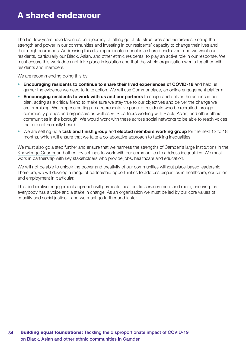<span id="page-33-0"></span>The last few years have taken us on a journey of letting go of old structures and hierarchies, seeing the strength and power in our communities and investing in our residents' capacity to change their lives and their neighbourhoods. Addressing this disproportionate impact is a shared endeavour and we want our residents, particularly our Black, Asian, and other ethnic residents, to play an active role in our response. We must ensure this work does not take place in isolation and that the whole organisation works together with residents and members.

We are recommending doing this by:

- **Encouraging residents to continue to share their lived experiences of COVID-19** and help us garner the evidence we need to take action. We will use Commonplace, an online engagement platform.
- **Encouraging residents to work with us and our partners** to shape and deliver the actions in our plan, acting as a critical friend to make sure we stay true to our objectives and deliver the change we are promising. We propose setting up a representative panel of residents who be recruited through community groups and organisers as well as VCS partners working with Black, Asian, and other ethnic communities in the borough. We would work with these across social networks to be able to reach voices that are not normally heard.
- We are setting up a **task and finish group** and **elected members working group** for the next 12 to 18 months, which will ensure that we take a collaborative approach to tackling inequalities.

We must also go a step further and ensure that we harness the strengths of Camden's large institutions in the [Knowledge Quarter](https://www.knowledgequarter.london/) and other key settings to work with our communities to address inequalities. We must work in partnership with key stakeholders who provide jobs, healthcare and education.

We will not be able to unlock the power and creativity of our communities without place-based leadership. Therefore, we will develop a range of partnership opportunities to address disparities in healthcare, education and employment in particular.

This deliberative engagement approach will permeate local public services more and more, ensuring that everybody has a voice and a stake in change. As an organisation we must be led by our core values of equality and social justice – and we must go further and faster.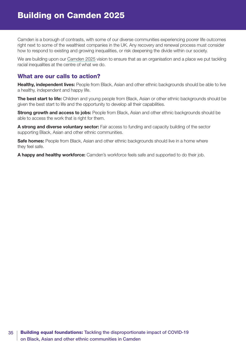<span id="page-34-0"></span>Camden is a borough of contrasts, with some of our diverse communities experiencing poorer life outcomes right next to some of the wealthiest companies in the UK. Any recovery and renewal process must consider how to respond to existing and growing inequalities, or risk deepening the divide within our society.

We are building upon our [Camden 2025](https://www3.camden.gov.uk/2025) vision to ensure that as an organisation and a place we put tackling racial inequalities at the centre of what we do.

### What are our calls to action?

**Healthy, independent lives:** People from Black, Asian and other ethnic backgrounds should be able to live a healthy, independent and happy life.

**The best start to life:** Children and young people from Black. Asian or other ethnic backgrounds should be given the best start to life and the opportunity to develop all their capabilities.

**Strong growth and access to jobs:** People from Black, Asian and other ethnic backgrounds should be able to access the work that is right for them.

**A strong and diverse voluntary sector:** Fair access to funding and capacity building of the sector supporting Black, Asian and other ethnic communities.

**Safe homes:** People from Black, Asian and other ethnic backgrounds should live in a home where they feel safe.

**A happy and healthy workforce:** Camden's workforce feels safe and supported to do their job.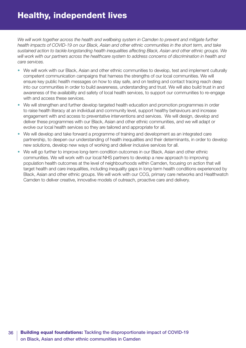<span id="page-35-0"></span>We will work together across the health and wellbeing system in Camden to prevent and mitigate further *health impacts of COVID-19 on our Black, Asian and other ethnic communities in the short term, and take sustained action to tackle longstanding health inequalities affecting Black, Asian and other ethnic groups. We will work with our partners across the healthcare system to address concerns of discrimination in health and care services.*

- We will work with our Black, Asian and other ethnic communities to develop, test and implement culturally competent communication campaigns that harness the strengths of our local communities. We will ensure key public health messages on how to stay safe, and on testing and contact tracing reach deep into our communities in order to build awareness, understanding and trust. We will also build trust in and awareness of the availability and safety of local health services, to support our communities to re-engage with and access these services.
- We will strengthen and further develop targeted health education and promotion programmes in order to raise health literacy at an individual and community level, support healthy behaviours and increase engagement with and access to preventative interventions and services. We will design, develop and deliver these programmes with our Black, Asian and other ethnic communities, and we will adapt or evolve our local health services so they are tailored and appropriate for all.
- We will develop and take forward a programme of training and development as an integrated care partnership, to deepen our understanding of health inequalities and their determinants, in order to develop new solutions, develop new ways of working and deliver inclusive services for all.
- We will go further to improve long-term condition outcomes in our Black, Asian and other ethnic communities. We will work with our local NHS partners to develop a new approach to improving population health outcomes at the level of neighbourhoods within Camden, focusing on action that will target health and care inequalities, including inequality gaps in long-term health conditions experienced by Black, Asian and other ethnic groups. We will work with our CCG, primary care networks and Healthwatch Camden to deliver creative, innovative models of outreach, proactive care and delivery.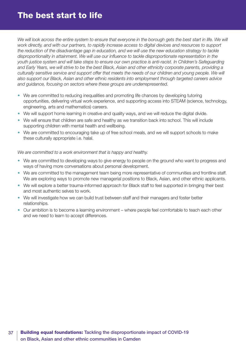<span id="page-36-0"></span>We will look across the entire system to ensure that everyone in the borough gets the best start in life. We will *work directly, and with our partners, to rapidly increase access to digital devices and resources to support the reduction of the disadvantage gap in education, and we will use the new education strategy to tackle disproportionality in attainment. We will use our influence to tackle disproportionate representation in the youth justice system and will take steps to ensure our own practice is anti-racist. In Children's Safeguarding and Early Years, we will strive to be the best Black, Asian and other ethnicity corporate parents, providing a culturally sensitive service and support offer that meets the needs of our children and young people. We will also support our Black, Asian and other ethnic residents into employment through targeted careers advice and guidance, focusing on sectors where these groups are underrepresented.*

- We are committed to reducing inequalities and promoting life chances by developing tutoring opportunities, delivering virtual work experience, and supporting access into STEAM (science, technology, engineering, arts and mathematics) careers.
- We will support home learning in creative and quality ways, and we will reduce the digital divide.
- We will ensure that children are safe and healthy as we transition back into school. This will include supporting children with mental health and wellbeing.
- We are committed to encouraging take up of free school meals, and we will support schools to make these culturally appropriate i.e. halal.

*We are committed to a work environment that is happy and healthy.*

- We are committed to developing ways to give energy to people on the ground who want to progress and ways of having more conversations about personal development.
- We are committed to the management team being more representative of communities and frontline staff. We are exploring ways to promote new managerial positions to Black, Asian, and other ethnic applicants.
- We will explore a better trauma-informed approach for Black staff to feel supported in bringing their best and most authentic selves to work.
- We will investigate how we can build trust between staff and their managers and foster better relationships.
- Our ambition is to become a learning environment where people feel comfortable to teach each other and we need to learn to accept differences.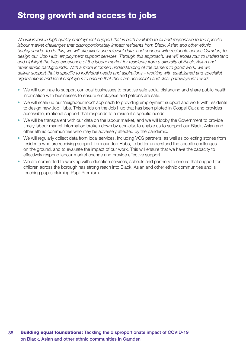<span id="page-37-0"></span>*We will invest in high quality employment support that is both available to all and responsive to the specific labour market challenges that disproportionately impact residents from Black, Asian and other ethnic backgrounds. To do this, we will effectively use relevant data, and connect with residents across Camden, to design our 'Job Hub' employment support services. Through this approach, we will endeavour to understand and highlight the lived experience of the labour market for residents from a diversity of Black, Asian and other ethnic backgrounds. With a more informed understanding of the barriers to good work, we will deliver support that is specific to individual needs and aspirations – working with established and specialist organisations and local employers to ensure that there are accessible and clear pathways into work.* 

- We will continue to support our local businesses to practise safe social distancing and share public health information with businesses to ensure employees and patrons are safe.
- We will scale up our 'neighbourhood' approach to providing employment support and work with residents to design new Job Hubs. This builds on the Job Hub that has been piloted in Gospel Oak and provides accessible, relational support that responds to a resident's specific needs.
- We will be transparent with our data on the labour market, and we will lobby the Government to provide timely labour market information broken down by ethnicity, to enable us to support our Black, Asian and other ethnic communities who may be adversely affected by the pandemic.
- We will regularly collect data from local services, including VCS partners, as well as collecting stories from residents who are receiving support from our Job Hubs, to better understand the specific challenges on the ground, and to evaluate the impact of our work. This will ensure that we have the capacity to effectively respond labour market change and provide effective support.
- We are committed to working with education services, schools and partners to ensure that support for children across the borough has strong reach into Black, Asian and other ethnic communities and is reaching pupils claiming Pupil Premium.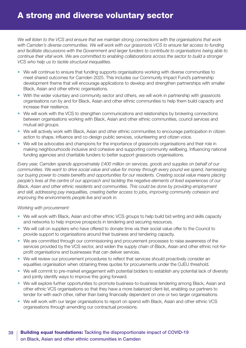<span id="page-38-0"></span>*We will listen to the VCS and ensure that we maintain strong connections with the organisations that work with Camden's diverse communities. We will work with our grassroots VCS to ensure fair access to funding and facilitate discussions with the Government and larger funders to contribute to organisations being able to continue their vital work. We are committed to enabling collaborations across the sector to build a stronger VCS who help us to tackle structural inequalities.* 

- We will continue to ensure that funding supports organisations working with diverse communities to meet shared outcomes for Camden 2025. This includes our Community Impact Fund's partnership development theme that will encourage applications to develop and strengthen partnerships with smaller Black, Asian and other ethnic organisations.
- With the wider voluntary and community sector and others, we will work in partnership with grassroots organisations run by and for Black, Asian and other ethnic communities to help them build capacity and increase their resilience.
- We will work with the VCS to strengthen communications and relationships by brokering connections between organisations working with Black, Asian and other ethnic communities, council services and mutual aid groups.
- We will actively work with Black, Asian and other ethnic communities to encourage participation in citizen action to shape, influence and co-design public services, volunteering and citizen voice.
- We will be advocates and champions for the importance of grassroots organisations and their role in making neighbourhoods inclusive and cohesive and supporting community wellbeing. Influencing national funding agencies and charitable funders to better support grassroots organisations.

*Every year, Camden spends approximately £400 million on services, goods and supplies on behalf of our communities. We want to drive social value and value for money through every pound we spend, harnessing our buying power to create benefits and opportunities for our residents. Creating social value means placing people's lives at the centre of our approach and tackling the negative elements of lived experiences of our Black, Asian and other ethnic residents and communities. This could be done by providing employment and skill, addressing pay inequalities, creating better access to jobs, improving community cohesion and improving the environments people live and work in.*

#### *Working with procurement:*

- We will work with Black, Asian and other ethnic VCS groups to help build bid writing and skills capacity and networks to help improve prospects in tendering and securing resources.
- We will call on suppliers who have offered to donate time via their social value offer to the Council to provide support to organisations around their business and tendering capacity.
- We are committed through our commissioning and procurement processes to raise awareness of the services provided by the VCS sector, and widen the supply chain of Black, Asian and other ethnic not-forprofit organisations and businesses that can deliver services.
- We will review our procurement procedures to reflect that services should proactively consider an equalities organisation when obtaining three quotes for procurements under the OJEU threshold.
- We will commit to pre-market engagement with potential bidders to establish any potential lack of diversity and jointly identify ways to improve this going forward.
- We will explore further opportunities to promote business-to-business tendering among Black, Asian and other ethnic VCS organisations so that they have a more balanced client list, enabling our partners to tender for with each other, rather than being financially dependent on one or two larger organisations.
- We will work with our larger organisations to report on spend with Black, Asian and other ethnic VCS organisations through amending our contractual provisions.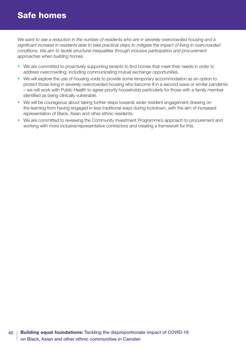### <span id="page-39-0"></span>Safe homes

We want to see a reduction in the number of residents who are in severely overcrowded housing and a *significant increase in residents able to take practical steps to mitigate the impact of living in overcrowded conditions. We aim to tackle structural inequalities through inclusive participation and procurement approaches when building homes.*

- We are committed to proactively supporting tenants to find homes that meet their needs in order to address overcrowding; including communicating mutual exchange opportunities.
- We will explore the use of housing voids to provide some temporary accommodation as an option to protect those living in severely overcrowded housing who become ill in a second wave or similar pandemic – we will work with Public Health to agree priority households particularly for those with a family member identified as being clinically vulnerable.
- We will be courageous about taking further steps towards wider resident engagement drawing on the learning from having engaged in less traditional ways during lockdown, with the aim of increased representation of Black, Asian and other ethnic residents.
- We are committed to reviewing the Community Investment Programme's approach to procurement and working with more inclusive/representative contractors and creating a framework for this.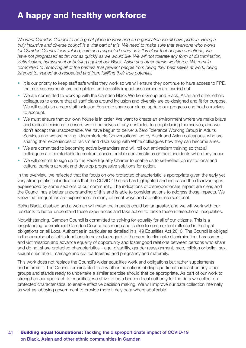<span id="page-40-0"></span>*We want Camden Council to be a great place to work and an organisation we all have pride in. Being a truly inclusive and diverse council is a vital part of this. We need to make sure that everyone who works for Camden Council feels valued, safe and respected every day. It is clear that despite our efforts, we have not progressed as far, nor as quickly as we would like. We will not tolerate any form of discrimination, victimisation, harassment or bullying against our Black, Asian and other ethnic workforce. We remain committed to removing all of the barriers that prevent people from being their best selves at work, being listened to, valued and respected and from fulfilling their true potential.*

- It is our priority to keep staff safe whilst they work so we will ensure they continue to have access to PPE, that risk assessments are completed, and equality impact assessments are carried out.
- We are committed to working with the Camden Black Workers Group and Black, Asian and other ethnic colleagues to ensure that all staff plans around inclusion and diversity are co-designed and fit for purpose. We will establish a new staff Inclusion Forum to share our plans, update our progress and hold ourselves to account.
- We must ensure that our own house is in order. We want to create an environment where we make brave and radical decisions to ensure we rid ourselves of any obstacles to people being themselves, and we don't accept the unacceptable. We have begun to deliver a Zero Tolerance Working Group in Adults Services and we are having 'Uncomfortable Conversations' led by Black and Asian colleagues, who are sharing their experiences of racism and discussing with White colleagues how they can become allies.
- We are committed to becoming active bystanders and will roll out anti-racism training so that all colleagues are comfortable to confront uncomfortable conversations or racist incidents when they occur.
- We will commit to sign up to the Race Equality Charter to enable us to self-reflect on institutional and cultural barriers at work and develop progressive solutions for action.

In the overview, we reflected that the focus on one protected characteristic is appropriate given the early yet very strong statistical indications that the COVID-19 crisis has highlighted and increased the disadvantages experienced by some sections of our community. The indications of disproportionate impact are clear, and the Council has a better understanding of this and is able to consider actions to address those impacts. We know that inequalities are experienced in many different ways and are often intersectional.

Being Black, disabled and a woman will mean the impacts could be far greater, and we will work with our residents to better understand these experiences and take action to tackle these intersectional inequalities.

Notwithstanding, Camden Council is committed to striving for equality for all of our citizens. This is a longstanding commitment Camden Council has made and is also to some extent reflected in the legal obligations on all Local Authorities in particular as detailed in s149 Equalities Act 2010. The Council is obliged in the exercise of all of its functions to have due regard to the need to eliminate discrimination, harassment and victimisation and advance equality of opportunity and foster good relations between persons who share and do not share protected characteristics – age, disability, gender reassignment, race, religion or belief, sex, sexual orientation, marriage and civil partnership and pregnancy and maternity.

This work does not replace the Council's wider equalities work and obligations but rather supplements and informs it. The Council remains alert to any other indications of disproportionate impact on any other groups and stands ready to undertake a similar exercise should that be appropriate. As part of our work to strengthen our approach to equalities, we strive to be a beacon local authority for the data we collect on protected characteristics, to enable effective decision making. We will improve our data collection internally as well as lobbying government to provide more timely data where applicable.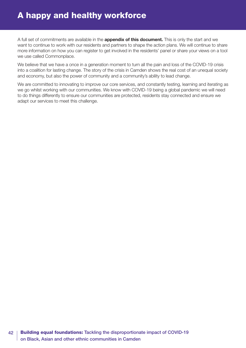### A happy and healthy workforce

A full set of commitments are available in the **appendix of this document.** This is only the start and we want to continue to work with our residents and partners to shape the action plans. We will continue to share more information on how you can register to get involved in the residents' panel or share your views on a tool we use called Commonplace.

We believe that we have a once in a generation moment to turn all the pain and loss of the COVID-19 crisis into a coalition for lasting change. The story of the crisis in Camden shows the real cost of an unequal society and economy, but also the power of community and a community's ability to lead change.

We are committed to innovating to improve our core services, and constantly testing, learning and iterating as we go whilst working with our communities. We know with COVID-19 being a global pandemic we will need to do things differently to ensure our communities are protected, residents stay connected and ensure we adapt our services to meet this challenge.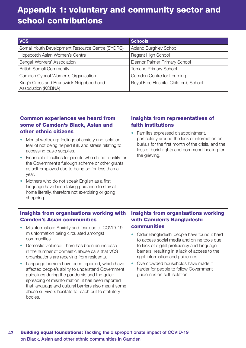# <span id="page-42-0"></span>Appendix 1: voluntary and community sector and school contributions

| <b>VCS</b>                                                      | <b>Schools</b>                        |
|-----------------------------------------------------------------|---------------------------------------|
| Somali Youth Development Resource Centre (SYDRC)                | <b>Acland Burghley School</b>         |
| Hopscotch Asian Women's Centre                                  | <b>Regent High School</b>             |
| Bengali Workers' Association                                    | Eleanor Palmer Primary School         |
| <b>British Somali Community</b>                                 | Torriano Primary School               |
| Camden Cypriot Women's Organisation                             | Camden Centre for Learning            |
| King's Cross and Brunswick Neighbourhood<br>Association (KCBNA) | Royal Free Hospital Children's School |

| <b>Common experiences we heard from</b><br>some of Camden's Black, Asian and<br>other ethnic citizens |                                                                                                                                                                                                                                                                                                                                                                                                                                                                                             | <b>Insights from representatives of</b><br>faith institutions                                                                                                                                                              |  |
|-------------------------------------------------------------------------------------------------------|---------------------------------------------------------------------------------------------------------------------------------------------------------------------------------------------------------------------------------------------------------------------------------------------------------------------------------------------------------------------------------------------------------------------------------------------------------------------------------------------|----------------------------------------------------------------------------------------------------------------------------------------------------------------------------------------------------------------------------|--|
|                                                                                                       | Mental wellbeing: feelings of anxiety and isolation,<br>fear of not being helped if ill, and stress relating to<br>accessing basic supplies.<br>Financial difficulties for people who do not qualify for<br>the Government's furlough scheme or other grants<br>as self-employed due to being so for less than a<br>year.<br>Mothers who do not speak English as a first<br>language have been taking guidance to stay at<br>home literally, therefore not exercising or going<br>shopping. | Families expressed disappointment,<br>$\bullet$<br>particularly around the lack of information on<br>burials for the first month of the crisis, and the<br>loss of burial rights and communal healing for<br>the grieving. |  |
|                                                                                                       |                                                                                                                                                                                                                                                                                                                                                                                                                                                                                             |                                                                                                                                                                                                                            |  |
|                                                                                                       | <b>Insights from organisations working with</b><br><b>Camden's Asian communities</b>                                                                                                                                                                                                                                                                                                                                                                                                        | <b>Insights from organisations working</b><br>with Camden's Bangladeshi                                                                                                                                                    |  |
|                                                                                                       | Misinformation: Anxiety and fear due to COVID-19                                                                                                                                                                                                                                                                                                                                                                                                                                            | communities                                                                                                                                                                                                                |  |
|                                                                                                       | misinformation being circulated amongst<br>communities.                                                                                                                                                                                                                                                                                                                                                                                                                                     | Older Bangladeshi people have found it hard<br>$\bullet$<br>to access social media and online tools due                                                                                                                    |  |
|                                                                                                       | Domestic violence: There has been an increase<br>in the number of domestic abuse calls that VCS<br>organisations are receiving from residents.                                                                                                                                                                                                                                                                                                                                              | to lack of digital proficiency and language<br>barriers, resulting in a lack of access to the<br>right information and guidelines.                                                                                         |  |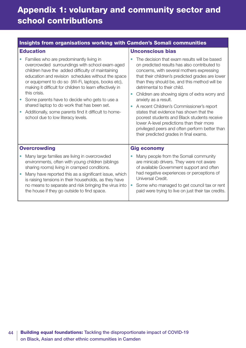# Appendix 1: voluntary and community sector and school contributions

| Insights from organisations working with Camden's Somali communities |                                                                                                                                                                                                                                                                                                                                                                                                                                                                                                                                        |                                                                                                                                                                                                                                                                                                                                                                                                                                                                                                                                                                                                                                                         |  |  |
|----------------------------------------------------------------------|----------------------------------------------------------------------------------------------------------------------------------------------------------------------------------------------------------------------------------------------------------------------------------------------------------------------------------------------------------------------------------------------------------------------------------------------------------------------------------------------------------------------------------------|---------------------------------------------------------------------------------------------------------------------------------------------------------------------------------------------------------------------------------------------------------------------------------------------------------------------------------------------------------------------------------------------------------------------------------------------------------------------------------------------------------------------------------------------------------------------------------------------------------------------------------------------------------|--|--|
| <b>Education</b>                                                     |                                                                                                                                                                                                                                                                                                                                                                                                                                                                                                                                        | <b>Unconscious bias</b>                                                                                                                                                                                                                                                                                                                                                                                                                                                                                                                                                                                                                                 |  |  |
|                                                                      | Families who are predominantly living in<br>overcrowded surroundings with school exam-aged<br>children have the added difficulty of maintaining<br>education and revision schedules without the space<br>or equipment to do so (Wi-Fi, laptops, books etc),<br>making it difficult for children to learn effectively in<br>this crisis.<br>Some parents have to decide who gets to use a<br>shared laptop to do work that has been set.<br>Additionally, some parents find it difficult to home-<br>school due to low literacy levels. | The decision that exam results will be based<br>on predicted results has also contributed to<br>concerns, with several mothers expressing<br>that their children's predicted grades are lower<br>than they should be, and this method will be<br>detrimental to their child.<br>Children are showing signs of extra worry and<br>$\bullet$<br>anxiety as a result.<br>A recent Children's Commissioner's report<br>٠<br>states that evidence has shown that the<br>poorest students and Black students receive<br>lower A-level predictions than their more<br>privileged peers and often perform better than<br>their predicted grades in final exams. |  |  |
| <b>Overcrowding</b>                                                  |                                                                                                                                                                                                                                                                                                                                                                                                                                                                                                                                        | <b>Gig economy</b>                                                                                                                                                                                                                                                                                                                                                                                                                                                                                                                                                                                                                                      |  |  |
|                                                                      | Many large families are living in overcrowded<br>environments, often with young children (siblings<br>sharing rooms) living in cramped conditions.<br>Many have reported this as a significant issue, which<br>is raising tensions in their households, as they have<br>no means to separate and risk bringing the virus into<br>the house if they go outside to find space.                                                                                                                                                           | Many people from the Somali community<br>are minicab drivers. They were not aware<br>of available Government support and often<br>had negative experiences or perceptions of<br>Universal Credit.<br>Some who managed to get council tax or rent<br>paid were trying to live on just their tax credits.                                                                                                                                                                                                                                                                                                                                                 |  |  |